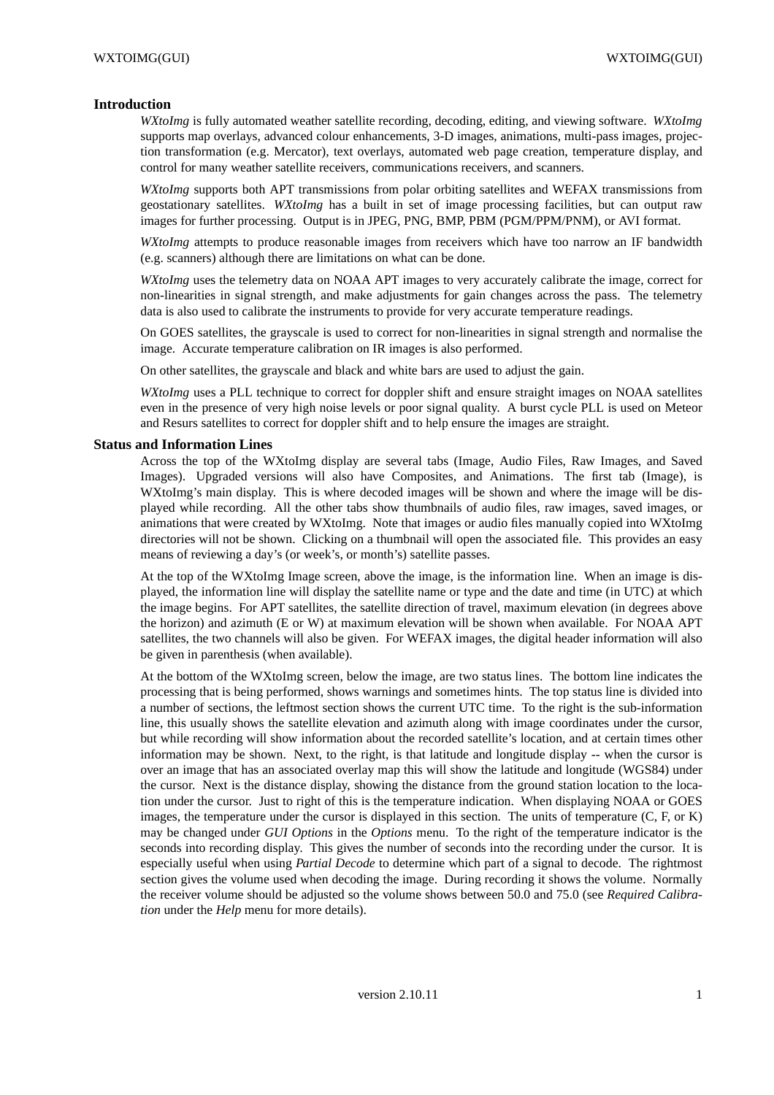### **Introduction**

*WXtoImg* is fully automated weather satellite recording, decoding, editing, and viewing software. *WXtoImg* supports map overlays, advanced colour enhancements, 3-D images, animations, multi-pass images, projection transformation (e.g. Mercator), text overlays, automated web page creation, temperature display, and control for many weather satellite receivers, communications receivers, and scanners.

*WXtoImg* supports both APT transmissions from polar orbiting satellites and WEFAX transmissions from geostationary satellites. *WXtoImg* has a built in set of image processing facilities, but can output raw images for further processing. Output is in JPEG, PNG, BMP, PBM (PGM/PPM/PNM), or AVI format.

*WXtoImg* attempts to produce reasonable images from receivers which have too narrow an IF bandwidth (e.g. scanners) although there are limitations on what can be done.

*WXtoImg* uses the telemetry data on NOAA APT images to very accurately calibrate the image, correct for non-linearities in signal strength, and make adjustments for gain changes across the pass. The telemetry data is also used to calibrate the instruments to provide for very accurate temperature readings.

On GOES satellites, the grayscale is used to correct for non-linearities in signal strength and normalise the image. Accurate temperature calibration on IR images is also performed.

On other satellites, the grayscale and black and white bars are used to adjust the gain.

*WXtoImg* uses a PLL technique to correct for doppler shift and ensure straight images on NOAA satellites even in the presence of very high noise levels or poor signal quality. A burst cycle PLL is used on Meteor and Resurs satellites to correct for doppler shift and to help ensure the images are straight.

#### **Status and Information Lines**

Across the top of the WXtoImg display are several tabs (Image, Audio Files, Raw Images, and Saved Images). Upgraded versions will also have Composites, and Animations. The first tab (Image), is WXtoImg's main display. This is where decoded images will be shown and where the image will be displayed while recording. All the other tabs show thumbnails of audio files, raw images, saved images, or animations that were created by WXtoImg. Note that images or audio files manually copied into WXtoImg directories will not be shown. Clicking on a thumbnail will open the associated file. This provides an easy means of reviewing a day's (or week's, or month's) satellite passes.

At the top of the WXtoImg Image screen, above the image, is the information line. When an image is displayed, the information line will display the satellite name or type and the date and time (in UTC) at which the image begins. For APT satellites, the satellite direction of travel, maximum elevation (in degrees above the horizon) and azimuth (E or W) at maximum elevation will be shown when available. For NOAA APT satellites, the two channels will also be given. For WEFAX images, the digital header information will also be given in parenthesis (when available).

At the bottom of the WXtoImg screen, below the image, are two status lines. The bottom line indicates the processing that is being performed, shows warnings and sometimes hints. The top status line is divided into a number of sections, the leftmost section shows the current UTC time. To the right is the sub-information line, this usually shows the satellite elevation and azimuth along with image coordinates under the cursor, but while recording will show information about the recorded satellite's location, and at certain times other information may be shown. Next, to the right, is that latitude and longitude display -- when the cursor is over an image that has an associated overlay map this will show the latitude and longitude (WGS84) under the cursor. Next is the distance display, showing the distance from the ground station location to the location under the cursor. Just to right of this is the temperature indication. When displaying NOAA or GOES images, the temperature under the cursor is displayed in this section. The units of temperature (C, F, or K) may be changed under *GUI Options* in the *Options* menu. To the right of the temperature indicator is the seconds into recording display. This gives the number of seconds into the recording under the cursor. It is especially useful when using *Partial Decode* to determine which part of a signal to decode. The rightmost section gives the volume used when decoding the image. During recording it shows the volume. Normally the receiver volume should be adjusted so the volume shows between 50.0 and 75.0 (see *Required Calibration* under the *Help* menu for more details).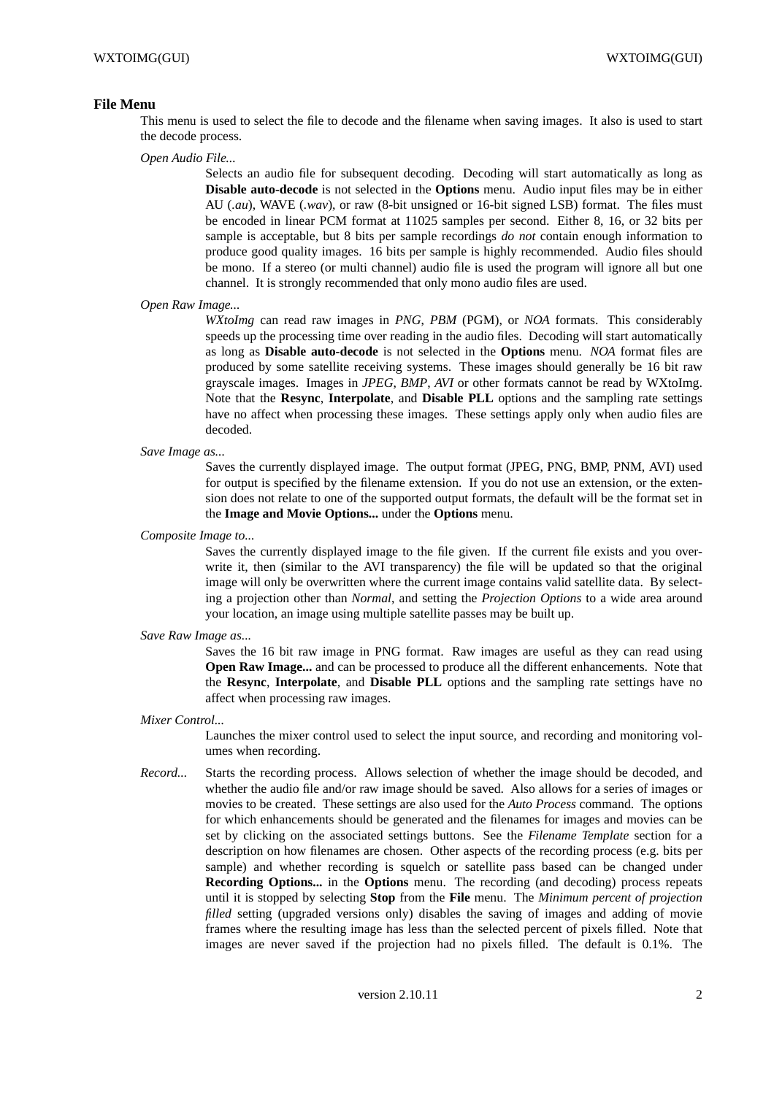### **File Menu**

This menu is used to select the file to decode and the filename when saving images. It also is used to start the decode process.

*Open Audio File...*

Selects an audio file for subsequent decoding. Decoding will start automatically as long as **Disable auto-decode** is not selected in the **Options** menu. Audio input files may be in either AU (*.au*), WAVE (*.wav*), or raw (8-bit unsigned or 16-bit signed LSB) format. The files must be encoded in linear PCM format at 11025 samples per second. Either 8, 16, or 32 bits per sample is acceptable, but 8 bits per sample recordings *do not* contain enough information to produce good quality images. 16 bits per sample is highly recommended. Audio files should be mono. If a stereo (or multi channel) audio file is used the program will ignore all but one channel. It is strongly recommended that only mono audio files are used.

#### *Open Raw Image...*

*WXtoImg* can read raw images in *PNG*, *PBM* (PGM), or *NOA* formats. This considerably speeds up the processing time over reading in the audio files. Decoding will start automatically as long as **Disable auto-decode** is not selected in the **Options** menu. *NOA* format files are produced by some satellite receiving systems. These images should generally be 16 bit raw grayscale images. Images in *JPEG*, *BMP*, *AVI* or other formats cannot be read by WXtoImg. Note that the **Resync**, **Interpolate**, and **Disable PLL** options and the sampling rate settings have no affect when processing these images. These settings apply only when audio files are decoded.

*Save Image as...*

Saves the currently displayed image. The output format (JPEG, PNG, BMP, PNM, AVI) used for output is specified by the filename extension. If you do not use an extension, or the extension does not relate to one of the supported output formats, the default will be the format set in the **Image and Movie Options...** under the **Options** menu.

*Composite Image to...*

Saves the currently displayed image to the file given. If the current file exists and you overwrite it, then (similar to the AVI transparency) the file will be updated so that the original image will only be overwritten where the current image contains valid satellite data. By selecting a projection other than *Normal*, and setting the *Projection Options* to a wide area around your location, an image using multiple satellite passes may be built up.

*Save Raw Image as...*

Saves the 16 bit raw image in PNG format. Raw images are useful as they can read using **Open Raw Image...** and can be processed to produce all the different enhancements. Note that the **Resync**, **Interpolate**, and **Disable PLL** options and the sampling rate settings have no affect when processing raw images.

*Mixer Control...*

Launches the mixer control used to select the input source, and recording and monitoring volumes when recording.

*Record...* Starts the recording process. Allows selection of whether the image should be decoded, and whether the audio file and/or raw image should be saved. Also allows for a series of images or movies to be created. These settings are also used for the *Auto Process* command. The options for which enhancements should be generated and the filenames for images and movies can be set by clicking on the associated settings buttons. See the *Filename Template* section for a description on how filenames are chosen. Other aspects of the recording process (e.g. bits per sample) and whether recording is squelch or satellite pass based can be changed under **Recording Options...** in the **Options** menu. The recording (and decoding) process repeats until it is stopped by selecting **Stop** from the **File** menu. The *Minimum percent of projection filled* setting (upgraded versions only) disables the saving of images and adding of movie frames where the resulting image has less than the selected percent of pixels filled. Note that images are never saved if the projection had no pixels filled. The default is 0.1%. The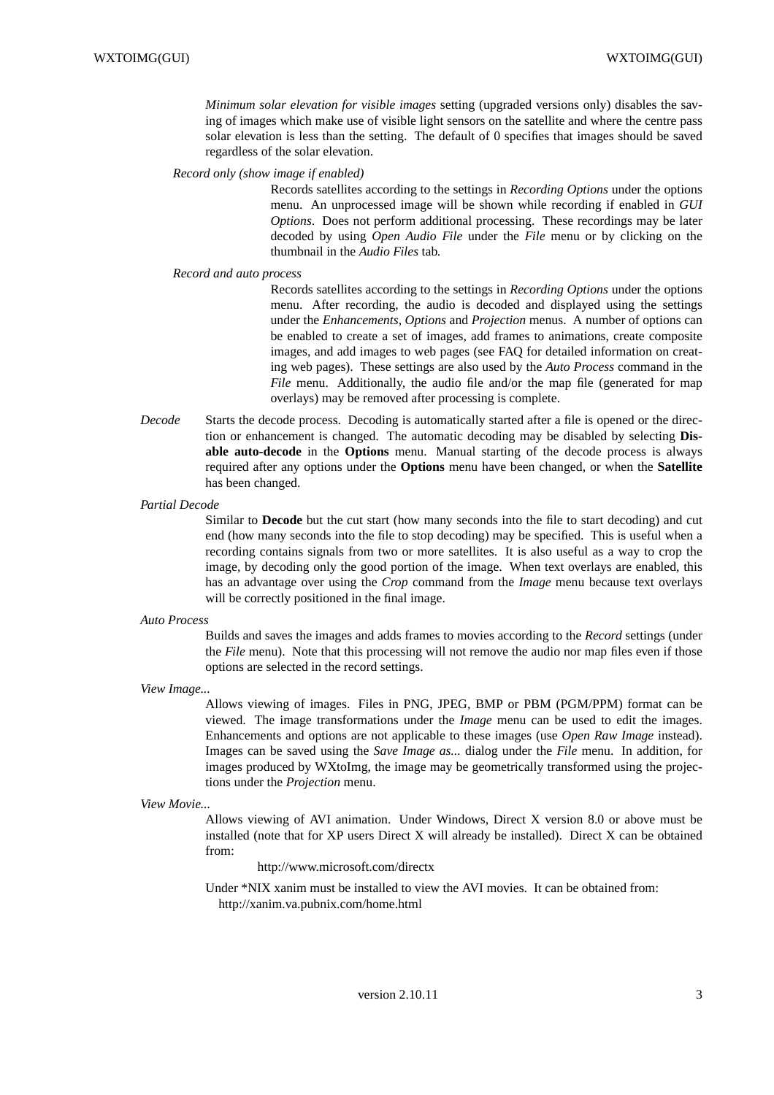*Minimum solar elevation for visible images* setting (upgraded versions only) disables the saving of images which make use of visible light sensors on the satellite and where the centre pass solar elevation is less than the setting. The default of 0 specifies that images should be saved regardless of the solar elevation.

#### *Record only (show image if enabled)*

Records satellites according to the settings in *Recording Options* under the options menu. An unprocessed image will be shown while recording if enabled in *GUI Options*. Does not perform additional processing. These recordings may be later decoded by using *Open Audio File* under the *File* menu or by clicking on the thumbnail in the *Audio Files* tab.

#### *Record and auto process*

Records satellites according to the settings in *Recording Options* under the options menu. After recording, the audio is decoded and displayed using the settings under the *Enhancements*, *Options* and *Projection* menus. A number of options can be enabled to create a set of images, add frames to animations, create composite images, and add images to web pages (see FAQ for detailed information on creating web pages). These settings are also used by the *Auto Process* command in the *File* menu. Additionally, the audio file and/or the map file (generated for map overlays) may be removed after processing is complete.

*Decode* Starts the decode process. Decoding is automatically started after a file is opened or the direction or enhancement is changed. The automatic decoding may be disabled by selecting **Disable auto-decode** in the **Options** menu. Manual starting of the decode process is always required after any options under the **Options** menu have been changed, or when the **Satellite** has been changed.

#### *Partial Decode*

Similar to **Decode** but the cut start (how many seconds into the file to start decoding) and cut end (how many seconds into the file to stop decoding) may be specified. This is useful when a recording contains signals from two or more satellites. It is also useful as a way to crop the image, by decoding only the good portion of the image. When text overlays are enabled, this has an advantage over using the *Crop* command from the *Image* menu because text overlays will be correctly positioned in the final image.

#### *Auto Process*

Builds and saves the images and adds frames to movies according to the *Record* settings (under the *File* menu). Note that this processing will not remove the audio nor map files even if those options are selected in the record settings.

*View Image...*

Allows viewing of images. Files in PNG, JPEG, BMP or PBM (PGM/PPM) format can be viewed. The image transformations under the *Image* menu can be used to edit the images. Enhancements and options are not applicable to these images (use *Open Raw Image* instead). Images can be saved using the *Save Image as...* dialog under the *File* menu. In addition, for images produced by WXtoImg, the image may be geometrically transformed using the projections under the *Projection* menu.

```
View Movie...
```
Allows viewing of AVI animation. Under Windows, Direct X version 8.0 or above must be installed (note that for XP users Direct X will already be installed). Direct X can be obtained from:

http://www.microsoft.com/directx

Under \*NIX xanim must be installed to view the AVI movies. It can be obtained from: http://xanim.va.pubnix.com/home.html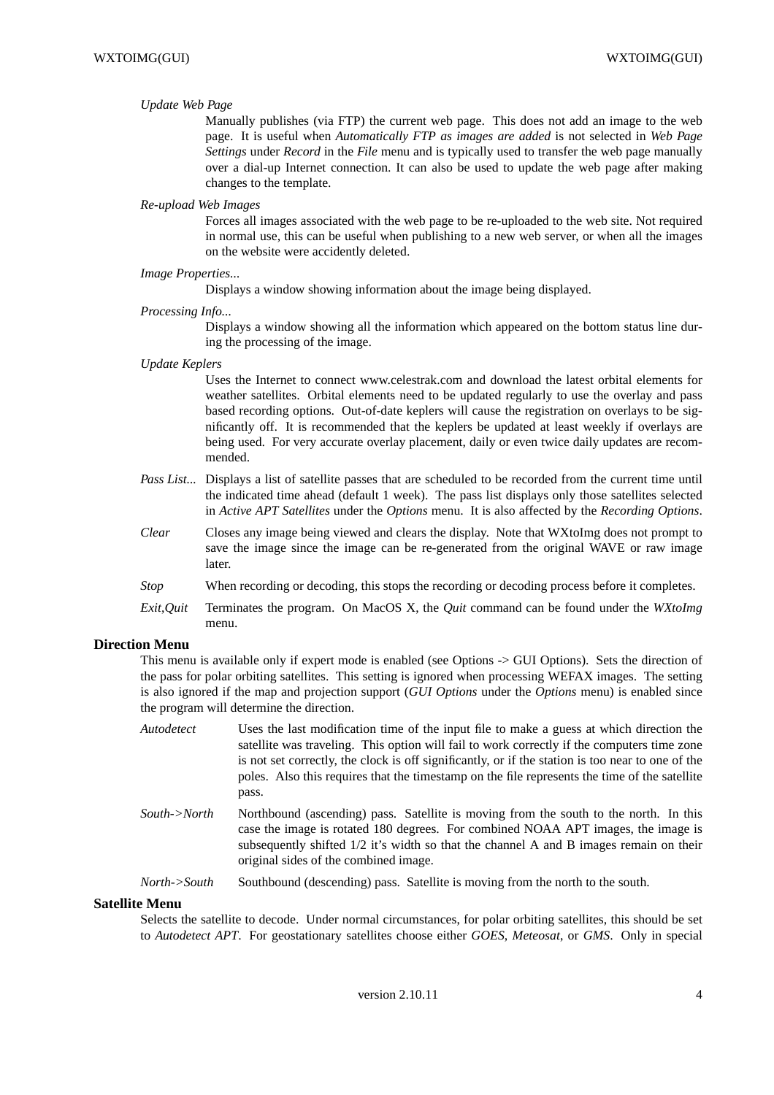### *Update Web Page*

Manually publishes (via FTP) the current web page. This does not add an image to the web page. It is useful when *Automatically FTP as images are added* is not selected in *Web Page Settings* under *Record* in the *File* menu and is typically used to transfer the web page manually over a dial-up Internet connection. It can also be used to update the web page after making changes to the template.

### *Re-upload Web Images*

Forces all images associated with the web page to be re-uploaded to the web site. Not required in normal use, this can be useful when publishing to a new web server, or when all the images on the website were accidently deleted.

### *Image Properties...*

Displays a window showing information about the image being displayed.

#### *Processing Info...*

Displays a window showing all the information which appeared on the bottom status line during the processing of the image.

*Update Keplers*

Uses the Internet to connect www.celestrak.com and download the latest orbital elements for weather satellites. Orbital elements need to be updated regularly to use the overlay and pass based recording options. Out-of-date keplers will cause the registration on overlays to be significantly off. It is recommended that the keplers be updated at least weekly if overlays are being used. For very accurate overlay placement, daily or even twice daily updates are recommended.

- *Pass List...* Displays a list of satellite passes that are scheduled to be recorded from the current time until the indicated time ahead (default 1 week). The pass list displays only those satellites selected in *Active APT Satellites* under the *Options* menu. It is also affected by the *Recording Options*.
- *Clear* Closes any image being viewed and clears the display. Note that WXtoImg does not prompt to save the image since the image can be re-generated from the original WAVE or raw image later.
- *Stop* When recording or decoding, this stops the recording or decoding process before it completes.
- *Exit*,*Quit* Terminates the program. On MacOS X, the *Quit* command can be found under the *WXtoImg* menu.

# **Direction Menu**

This menu is available only if expert mode is enabled (see Options -> GUI Options). Sets the direction of the pass for polar orbiting satellites. This setting is ignored when processing WEFAX images. The setting is also ignored if the map and projection support (*GUI Options* under the *Options* menu) is enabled since the program will determine the direction.

| Autodetect   | Uses the last modification time of the input file to make a guess at which direction the<br>satellite was traveling. This option will fail to work correctly if the computers time zone<br>is not set correctly, the clock is off significantly, or if the station is too near to one of the<br>poles. Also this requires that the timestamp on the file represents the time of the satellite<br>pass. |
|--------------|--------------------------------------------------------------------------------------------------------------------------------------------------------------------------------------------------------------------------------------------------------------------------------------------------------------------------------------------------------------------------------------------------------|
| South->North | Northbound (ascending) pass. Satellite is moving from the south to the north. In this<br>case the image is rotated 180 degrees. For combined NOAA APT images, the image is<br>subsequently shifted 1/2 it's width so that the channel A and B images remain on their                                                                                                                                   |

*North->South* Southbound (descending) pass. Satellite is moving from the north to the south.

original sides of the combined image.

### **Satellite Menu**

Selects the satellite to decode. Under normal circumstances, for polar orbiting satellites, this should be set to *Autodetect APT*. For geostationary satellites choose either *GOES*, *Meteosat*, or *GMS*. Only in special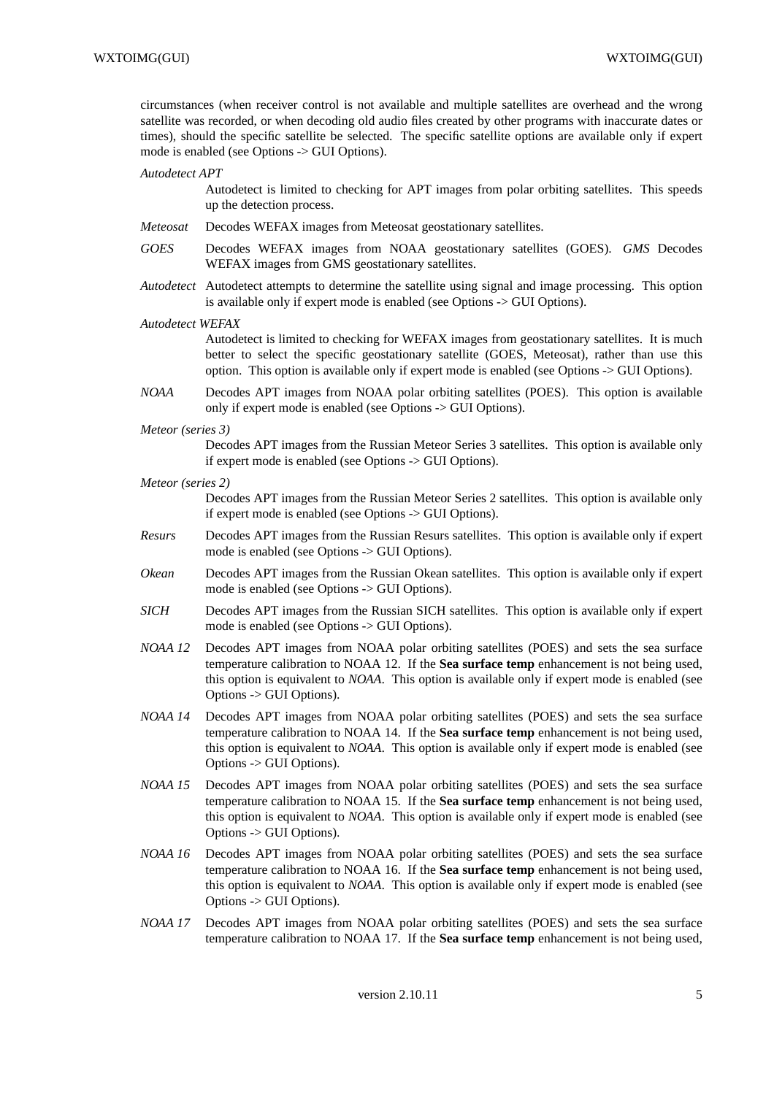circumstances (when receiver control is not available and multiple satellites are overhead and the wrong satellite was recorded, or when decoding old audio files created by other programs with inaccurate dates or times), should the specific satellite be selected. The specific satellite options are available only if expert mode is enabled (see Options -> GUI Options).

#### *Autodetect APT*

Autodetect is limited to checking for APT images from polar orbiting satellites. This speeds up the detection process.

- *Meteosat* Decodes WEFAX images from Meteosat geostationary satellites.
- *GOES* Decodes WEFAX images from NOAA geostationary satellites (GOES). *GMS* Decodes WEFAX images from GMS geostationary satellites.
- *Autodetect* Autodetect attempts to determine the satellite using signal and image processing. This option is available only if expert mode is enabled (see Options -> GUI Options).
- *Autodetect WEFAX*

Autodetect is limited to checking for WEFAX images from geostationary satellites. It is much better to select the specific geostationary satellite (GOES, Meteosat), rather than use this option. This option is available only if expert mode is enabled (see Options -> GUI Options).

- *NOAA* Decodes APT images from NOAA polar orbiting satellites (POES). This option is available only if expert mode is enabled (see Options -> GUI Options).
- *Meteor (series 3)*

Decodes APT images from the Russian Meteor Series 3 satellites. This option is available only if expert mode is enabled (see Options -> GUI Options).

*Meteor (series 2)*

Decodes APT images from the Russian Meteor Series 2 satellites. This option is available only if expert mode is enabled (see Options -> GUI Options).

- *Resurs* Decodes APT images from the Russian Resurs satellites. This option is available only if expert mode is enabled (see Options -> GUI Options).
- *Okean* Decodes APT images from the Russian Okean satellites. This option is available only if expert mode is enabled (see Options -> GUI Options).
- *SICH* Decodes APT images from the Russian SICH satellites. This option is available only if expert mode is enabled (see Options -> GUI Options).
- *NOAA 12* Decodes APT images from NOAA polar orbiting satellites (POES) and sets the sea surface temperature calibration to NOAA 12. If the **Sea surface temp** enhancement is not being used, this option is equivalent to *NOAA*. This option is available only if expert mode is enabled (see Options -> GUI Options).
- *NOAA 14* Decodes APT images from NOAA polar orbiting satellites (POES) and sets the sea surface temperature calibration to NOAA 14. If the **Sea surface temp** enhancement is not being used, this option is equivalent to *NOAA*. This option is available only if expert mode is enabled (see Options -> GUI Options).
- *NOAA 15* Decodes APT images from NOAA polar orbiting satellites (POES) and sets the sea surface temperature calibration to NOAA 15. If the **Sea surface temp** enhancement is not being used, this option is equivalent to *NOAA*. This option is available only if expert mode is enabled (see Options -> GUI Options).
- *NOAA 16* Decodes APT images from NOAA polar orbiting satellites (POES) and sets the sea surface temperature calibration to NOAA 16. If the **Sea surface temp** enhancement is not being used, this option is equivalent to *NOAA*. This option is available only if expert mode is enabled (see Options -> GUI Options).
- *NOAA 17* Decodes APT images from NOAA polar orbiting satellites (POES) and sets the sea surface temperature calibration to NOAA 17. If the **Sea surface temp** enhancement is not being used,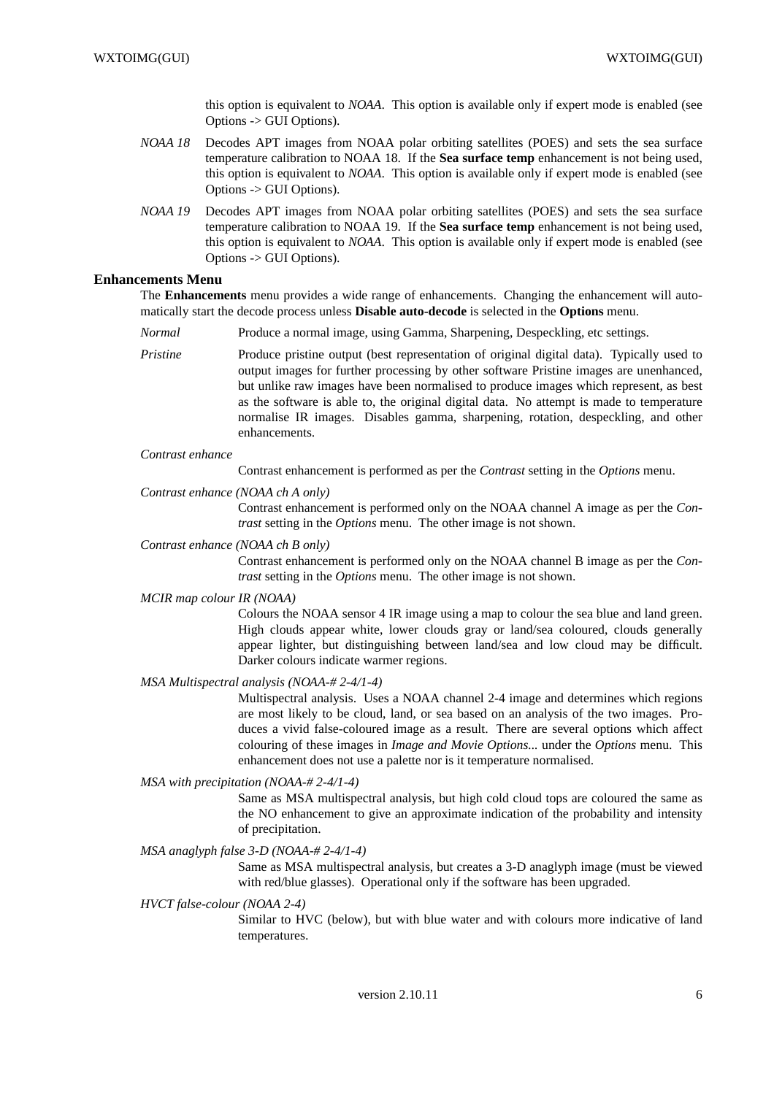this option is equivalent to *NOAA*. This option is available only if expert mode is enabled (see Options -> GUI Options).

- *NOAA 18* Decodes APT images from NOAA polar orbiting satellites (POES) and sets the sea surface temperature calibration to NOAA 18. If the **Sea surface temp** enhancement is not being used, this option is equivalent to *NOAA*. This option is available only if expert mode is enabled (see Options -> GUI Options).
- *NOAA 19* Decodes APT images from NOAA polar orbiting satellites (POES) and sets the sea surface temperature calibration to NOAA 19. If the **Sea surface temp** enhancement is not being used, this option is equivalent to *NOAA*. This option is available only if expert mode is enabled (see Options -> GUI Options).

### **Enhancements Menu**

The **Enhancements** menu provides a wide range of enhancements. Changing the enhancement will automatically start the decode process unless **Disable auto-decode** is selected in the **Options** menu.

- *Normal* Produce a normal image, using Gamma, Sharpening, Despeckling, etc settings.
- *Pristine* Produce pristine output (best representation of original digital data). Typically used to output images for further processing by other software Pristine images are unenhanced, but unlike raw images have been normalised to produce images which represent, as best as the software is able to, the original digital data. No attempt is made to temperature normalise IR images. Disables gamma, sharpening, rotation, despeckling, and other enhancements.

#### *Contrast enhance*

Contrast enhancement is performed as per the *Contrast* setting in the *Options* menu.

#### *Contrast enhance (NOAA chAonly)*

Contrast enhancement is performed only on the NOAA channel A image as per the *Contrast* setting in the *Options* menu. The other image is not shown.

### *Contrast enhance* (NOAA ch B only)

Contrast enhancement is performed only on the NOAA channel B image as per the *Contrast* setting in the *Options* menu. The other image is not shown.

#### *MCIR map colour IR (NOAA)*

Colours the NOAA sensor 4 IR image using a map to colour the sea blue and land green. High clouds appear white, lower clouds gray or land/sea coloured, clouds generally appear lighter, but distinguishing between land/sea and low cloud may be difficult. Darker colours indicate warmer regions.

#### *MSA Multispectral analysis (NOAA-# 2-4/1-4)*

Multispectral analysis. Uses a NOAA channel 2-4 image and determines which regions are most likely to be cloud, land, or sea based on an analysis of the two images. Produces a vivid false-coloured image as a result. There are several options which affect colouring of these images in *Image and Movie Options...* under the *Options* menu. This enhancement does not use a palette nor is it temperature normalised.

### *MSA with precipitation (NOAA-# 2-4/1-4)*

Same as MSA multispectral analysis, but high cold cloud tops are coloured the same as the NO enhancement to give an approximate indication of the probability and intensity of precipitation.

### *MSA anaglyph false 3-D (NOAA-# 2-4/1-4)*

Same as MSA multispectral analysis, but creates a 3-D anaglyph image (must be viewed with red/blue glasses). Operational only if the software has been upgraded.

#### *HVCT false-colour (NOAA 2-4)*

Similar to HVC (below), but with blue water and with colours more indicative of land temperatures.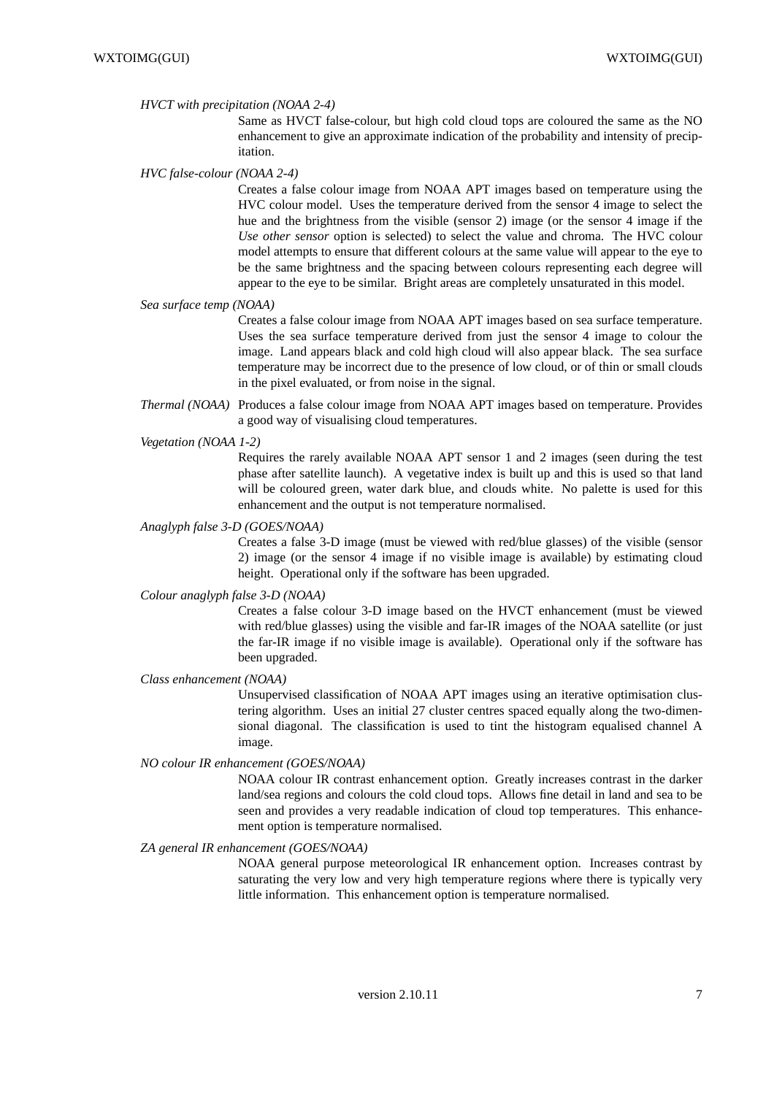### *HVCT with precipitation (NOAA 2-4)*

Same as HVCT false-colour, but high cold cloud tops are coloured the same as the NO enhancement to give an approximate indication of the probability and intensity of precipitation.

*HVC false-colour (NOAA 2-4)*

Creates a false colour image from NOAA APT images based on temperature using the HVC colour model. Uses the temperature derived from the sensor 4 image to select the hue and the brightness from the visible (sensor 2) image (or the sensor 4 image if the *Use other sensor* option is selected) to select the value and chroma. The HVC colour model attempts to ensure that different colours at the same value will appear to the eye to be the same brightness and the spacing between colours representing each degree will appear to the eye to be similar. Bright areas are completely unsaturated in this model.

#### *Sea surface temp (NOAA)*

Creates a false colour image from NOAA APT images based on sea surface temperature. Uses the sea surface temperature derived from just the sensor 4 image to colour the image. Land appears black and cold high cloud will also appear black. The sea surface temperature may be incorrect due to the presence of low cloud, or of thin or small clouds in the pixel evaluated, or from noise in the signal.

*Thermal (NOAA)* Produces a false colour image from NOAA APT images based on temperature. Provides a good way of visualising cloud temperatures.

#### *Ve getation (NOAA 1-2)*

Requires the rarely available NOAA APT sensor 1 and 2 images (seen during the test phase after satellite launch). A vegetative index is built up and this is used so that land will be coloured green, water dark blue, and clouds white. No palette is used for this enhancement and the output is not temperature normalised.

#### *Anaglyph false 3-D (GOES/NOAA)*

Creates a false 3-D image (must be viewed with red/blue glasses) of the visible (sensor 2) image (or the sensor 4 image if no visible image is available) by estimating cloud height. Operational only if the software has been upgraded.

#### *Colour anaglyph false 3-D (NOAA)*

Creates a false colour 3-D image based on the HVCT enhancement (must be viewed with red/blue glasses) using the visible and far-IR images of the NOAA satellite (or just the far-IR image if no visible image is available). Operational only if the software has been upgraded.

### *Class enhancement (NOAA)*

Unsupervised classification of NOAA APT images using an iterative optimisation clustering algorithm. Uses an initial 27 cluster centres spaced equally along the two-dimensional diagonal. The classification is used to tint the histogram equalised channel A image.

*NO colour IR enhancement (GOES/NOAA)*

NOAA colour IR contrast enhancement option. Greatly increases contrast in the darker land/sea regions and colours the cold cloud tops. Allows fine detail in land and sea to be seen and provides a very readable indication of cloud top temperatures. This enhancement option is temperature normalised.

### *ZA general IR enhancement (GOES/NOAA)*

NOAA general purpose meteorological IR enhancement option. Increases contrast by saturating the very low and very high temperature regions where there is typically very little information. This enhancement option is temperature normalised.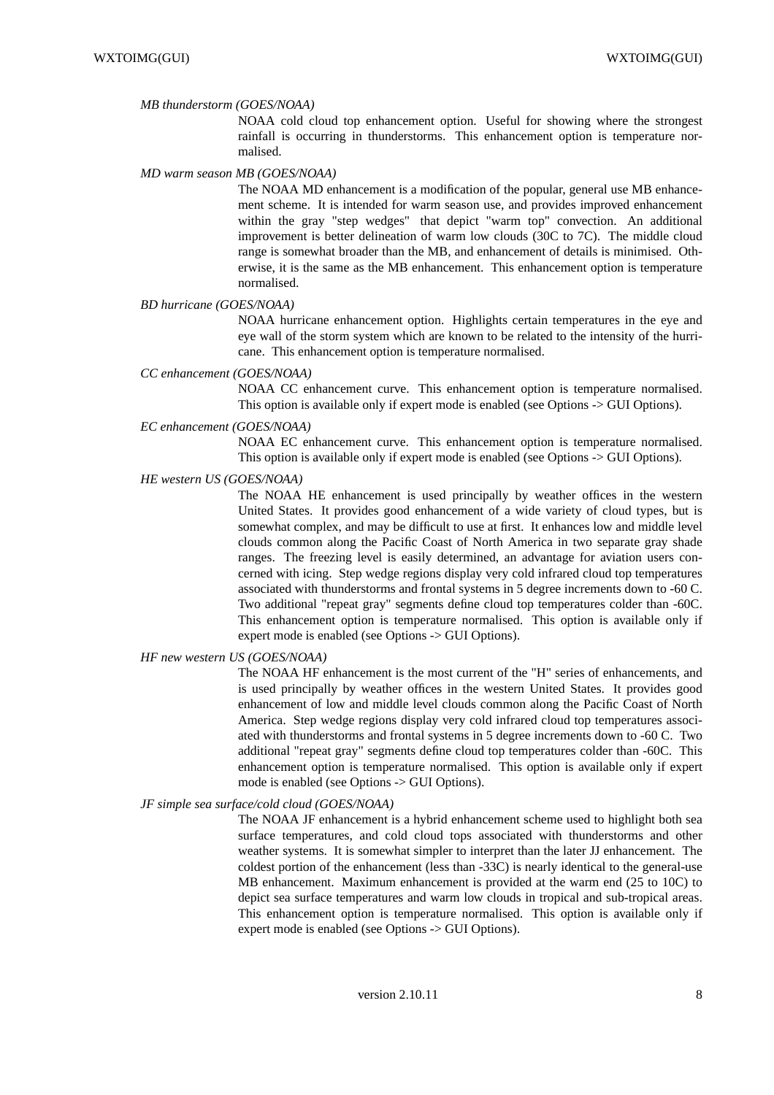#### *MB thunderstorm (GOES/NOAA)*

NOAA cold cloud top enhancement option. Useful for showing where the strongest rainfall is occurring in thunderstorms. This enhancement option is temperature normalised.

#### *MD warm season MB (GOES/NOAA)*

The NOAA MD enhancement is a modification of the popular, general use MB enhancement scheme. It is intended for warm season use, and provides improved enhancement within the gray "step wedges" that depict "warm top" convection. An additional improvement is better delineation of warm low clouds (30C to 7C). The middle cloud range is somewhat broader than the MB, and enhancement of details is minimised. Otherwise, it is the same as the MB enhancement. This enhancement option is temperature normalised.

### *BD hurricane (GOES/NOAA)*

NOAA hurricane enhancement option. Highlights certain temperatures in the eye and eye wall of the storm system which are known to be related to the intensity of the hurricane. This enhancement option is temperature normalised.

#### *CC enhancement (GOES/NOAA)*

NOAA CC enhancement curve. This enhancement option is temperature normalised. This option is available only if expert mode is enabled (see Options -> GUI Options).

#### *EC enhancement (GOES/NOAA)*

NOAA EC enhancement curve. This enhancement option is temperature normalised. This option is available only if expert mode is enabled (see Options -> GUI Options).

### *HE western US (GOES/NOAA)*

The NOAA HE enhancement is used principally by weather offices in the western United States. It provides good enhancement of a wide variety of cloud types, but is somewhat complex, and may be difficult to use at first. It enhances low and middle level clouds common along the Pacific Coast of North America in two separate gray shade ranges. The freezing level is easily determined, an advantage for aviation users concerned with icing. Step wedge regions display very cold infrared cloud top temperatures associated with thunderstorms and frontal systems in 5 degree increments down to -60 C. Two additional "repeat gray" segments define cloud top temperatures colder than -60C. This enhancement option is temperature normalised. This option is available only if expert mode is enabled (see Options -> GUI Options).

#### *HF new western US (GOES/NOAA)*

The NOAA HF enhancement is the most current of the "H" series of enhancements, and is used principally by weather offices in the western United States. It provides good enhancement of low and middle level clouds common along the Pacific Coast of North America. Step wedge regions display very cold infrared cloud top temperatures associated with thunderstorms and frontal systems in 5 degree increments down to -60 C. Two additional "repeat gray" segments define cloud top temperatures colder than -60C. This enhancement option is temperature normalised. This option is available only if expert mode is enabled (see Options -> GUI Options).

### *JF simple sea surface/cold cloud (GOES/NOAA)*

The NOAA JF enhancement is a hybrid enhancement scheme used to highlight both sea surface temperatures, and cold cloud tops associated with thunderstorms and other weather systems. It is somewhat simpler to interpret than the later JJ enhancement. The coldest portion of the enhancement (less than -33C) is nearly identical to the general-use MB enhancement. Maximum enhancement is provided at the warm end (25 to 10C) to depict sea surface temperatures and warm low clouds in tropical and sub-tropical areas. This enhancement option is temperature normalised. This option is available only if expert mode is enabled (see Options -> GUI Options).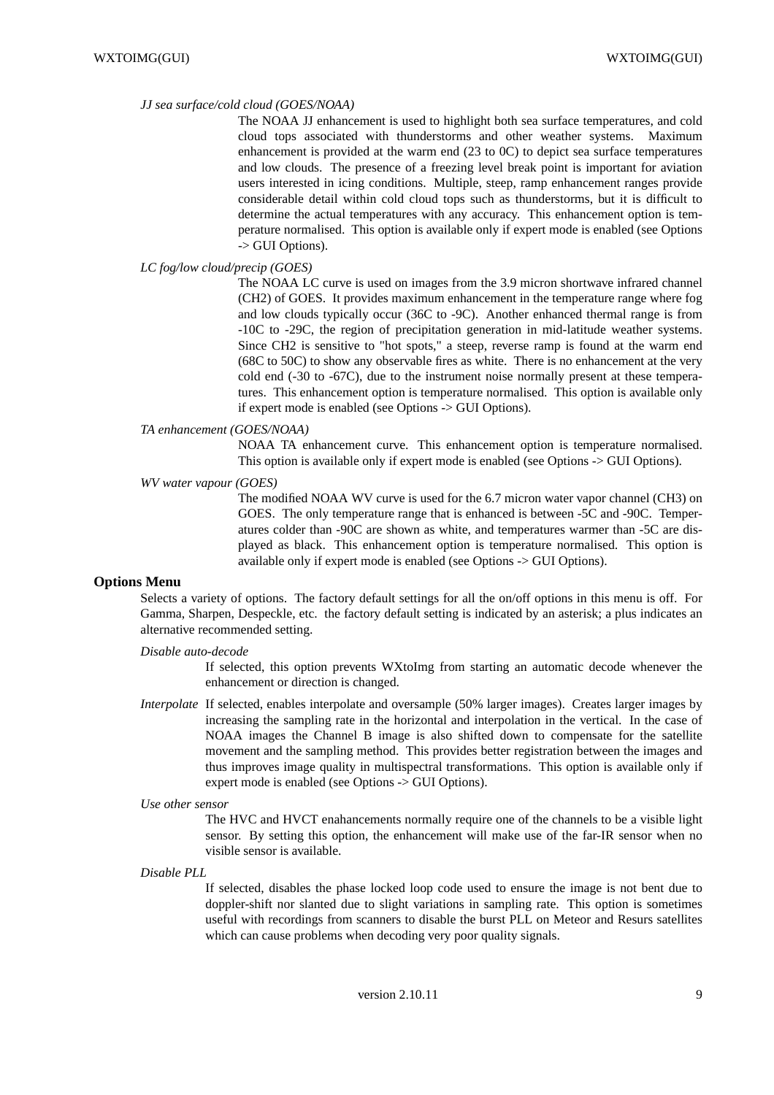#### *JJ sea surface/cold cloud (GOES/NOAA)*

The NOAA JJ enhancement is used to highlight both sea surface temperatures, and cold cloud tops associated with thunderstorms and other weather systems. Maximum enhancement is provided at the warm end (23 to 0C) to depict sea surface temperatures and low clouds. The presence of a freezing level break point is important for aviation users interested in icing conditions. Multiple, steep, ramp enhancement ranges provide considerable detail within cold cloud tops such as thunderstorms, but it is difficult to determine the actual temperatures with any accuracy. This enhancement option is temperature normalised. This option is available only if expert mode is enabled (see Options -> GUI Options).

### *LC fog/low cloud/precip (GOES)*

The NOAA LC curve is used on images from the 3.9 micron shortwave infrared channel (CH2) of GOES. It provides maximum enhancement in the temperature range where fog and low clouds typically occur (36C to -9C). Another enhanced thermal range is from -10C to -29C, the region of precipitation generation in mid-latitude weather systems. Since CH2 is sensitive to "hot spots," a steep, reverse ramp is found at the warm end (68C to 50C) to show any observable fires as white. There is no enhancement at the very cold end (-30 to -67C), due to the instrument noise normally present at these temperatures. This enhancement option is temperature normalised. This option is available only if expert mode is enabled (see Options -> GUI Options).

#### *TA enhancement (GOES/NOAA)*

NOAA TA enhancement curve. This enhancement option is temperature normalised. This option is available only if expert mode is enabled (see Options -> GUI Options).

#### *WV water vapour (GOES)*

The modified NOAA WV curve is used for the 6.7 micron water vapor channel (CH3) on GOES. The only temperature range that is enhanced is between -5C and -90C. Temperatures colder than -90C are shown as white, and temperatures warmer than -5C are displayed as black. This enhancement option is temperature normalised. This option is available only if expert mode is enabled (see Options -> GUI Options).

### **Options Menu**

Selects a variety of options. The factory default settings for all the on/off options in this menu is off. For Gamma, Sharpen, Despeckle, etc. the factory default setting is indicated by an asterisk; a plus indicates an alternative recommended setting.

### *Disable auto-decode*

If selected, this option prevents WXtoImg from starting an automatic decode whenever the enhancement or direction is changed.

- *Interpolate* If selected, enables interpolate and oversample (50% larger images). Creates larger images by increasing the sampling rate in the horizontal and interpolation in the vertical. In the case of NOAA images the Channel B image is also shifted down to compensate for the satellite movement and the sampling method. This provides better registration between the images and thus improves image quality in multispectral transformations. This option is available only if expert mode is enabled (see Options -> GUI Options).
- *Use other sensor*

The HVC and HVCT enahancements normally require one of the channels to be a visible light sensor. By setting this option, the enhancement will make use of the far-IR sensor when no visible sensor is available.

*Disable PLL*

If selected, disables the phase locked loop code used to ensure the image is not bent due to doppler-shift nor slanted due to slight variations in sampling rate. This option is sometimes useful with recordings from scanners to disable the burst PLL on Meteor and Resurs satellites which can cause problems when decoding very poor quality signals.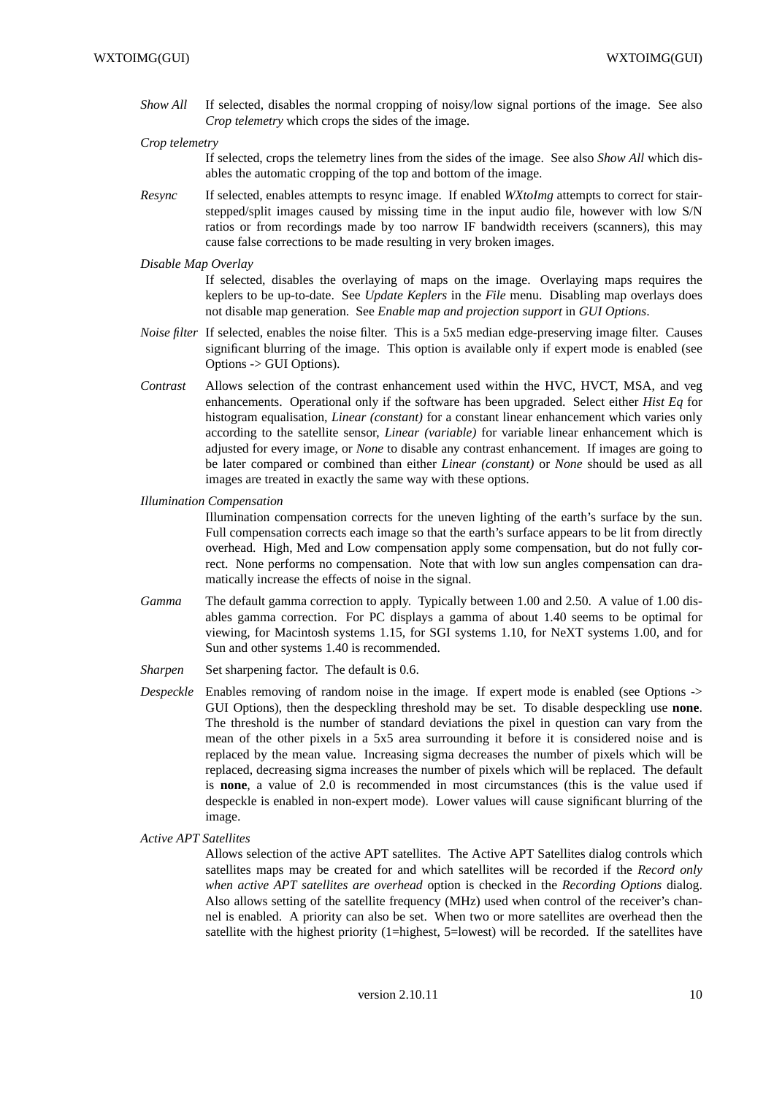- *Show All* If selected, disables the normal cropping of noisy/low signal portions of the image. See also *Crop telemetry* which crops the sides of the image.
- *Crop telemetry*

If selected, crops the telemetry lines from the sides of the image. See also *Show All* which disables the automatic cropping of the top and bottom of the image.

- *Resync* If selected, enables attempts to resync image. If enabled *WXtoImg* attempts to correct for stairstepped/split images caused by missing time in the input audio file, however with low S/N ratios or from recordings made by too narrow IF bandwidth receivers (scanners), this may cause false corrections to be made resulting in very broken images.
- *Disable Map Overlay*

If selected, disables the overlaying of maps on the image. Overlaying maps requires the keplers to be up-to-date. See *Update Keplers* in the *File* menu. Disabling map overlays does not disable map generation. See *Enable map and projection support* in *GUI Options*.

- *Noise filter* If selected, enables the noise filter. This is a 5x5 median edge-preserving image filter. Causes significant blurring of the image. This option is available only if expert mode is enabled (see Options -> GUI Options).
- *Contrast* Allows selection of the contrast enhancement used within the HVC, HVCT, MSA, and veg enhancements. Operational only if the software has been upgraded. Select either *Hist Eq* for histogram equalisation, *Linear (constant)* for a constant linear enhancement which varies only according to the satellite sensor, *Linear (variable)* for variable linear enhancement which is adjusted for every image, or *None* to disable any contrast enhancement. If images are going to be later compared or combined than either *Linear (constant)* or *None* should be used as all images are treated in exactly the same way with these options.
- *Illumination Compensation*

Illumination compensation corrects for the uneven lighting of the earth's surface by the sun. Full compensation corrects each image so that the earth's surface appears to be lit from directly overhead. High, Med and Low compensation apply some compensation, but do not fully correct. None performs no compensation. Note that with low sun angles compensation can dramatically increase the effects of noise in the signal.

- *Gamma* The default gamma correction to apply. Typically between 1.00 and 2.50. A value of 1.00 disables gamma correction. For PC displays a gamma of about 1.40 seems to be optimal for viewing, for Macintosh systems 1.15, for SGI systems 1.10, for NeXT systems 1.00, and for Sun and other systems 1.40 is recommended.
- *Sharpen* Set sharpening factor. The default is 0.6.
- *Despeckle* Enables removing of random noise in the image. If expert mode is enabled (see Options  $\rightarrow$ GUI Options), then the despeckling threshold may be set. To disable despeckling use **none**. The threshold is the number of standard deviations the pixel in question can vary from the mean of the other pixels in a 5x5 area surrounding it before it is considered noise and is replaced by the mean value. Increasing sigma decreases the number of pixels which will be replaced, decreasing sigma increases the number of pixels which will be replaced. The default is **none**, a value of 2.0 is recommended in most circumstances (this is the value used if despeckle is enabled in non-expert mode). Lower values will cause significant blurring of the image.
- *Active APT Satellites*

Allows selection of the active APT satellites. The Active APT Satellites dialog controls which satellites maps may be created for and which satellites will be recorded if the *Record only when active APT satellites are overhead* option is checked in the *Recording Options* dialog. Also allows setting of the satellite frequency (MHz) used when control of the receiver's channel is enabled. A priority can also be set. When two or more satellites are overhead then the satellite with the highest priority (1=highest, 5=lowest) will be recorded. If the satellites have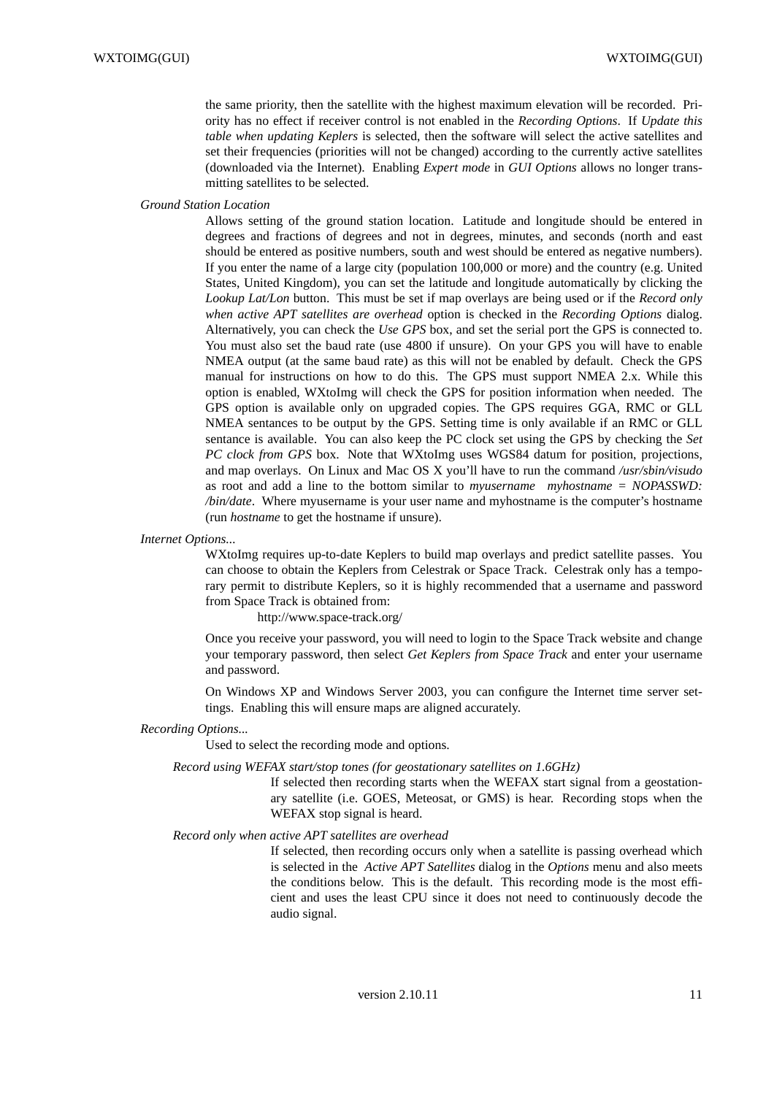the same priority, then the satellite with the highest maximum elevation will be recorded. Priority has no effect if receiver control is not enabled in the *Recording Options*. If *Update this table when updating Keplers* is selected, then the software will select the active satellites and set their frequencies (priorities will not be changed) according to the currently active satellites (downloaded via the Internet). Enabling *Expert mode* in *GUI Options* allows no longer transmitting satellites to be selected.

*Ground Station Location*

Allows setting of the ground station location. Latitude and longitude should be entered in degrees and fractions of degrees and not in degrees, minutes, and seconds (north and east should be entered as positive numbers, south and west should be entered as negative numbers). If you enter the name of a large city (population 100,000 or more) and the country (e.g. United States, United Kingdom), you can set the latitude and longitude automatically by clicking the *Lookup Lat/Lon* button. This must be set if map overlays are being used or if the *Record only when active APT satellites are overhead* option is checked in the *Recording Options* dialog. Alternatively, you can check the *Use GPS* box, and set the serial port the GPS is connected to. You must also set the baud rate (use 4800 if unsure). On your GPS you will have to enable NMEA output (at the same baud rate) as this will not be enabled by default. Check the GPS manual for instructions on how to do this. The GPS must support NMEA 2.x. While this option is enabled, WXtoImg will check the GPS for position information when needed. The GPS option is available only on upgraded copies. The GPS requires GGA, RMC or GLL NMEA sentances to be output by the GPS. Setting time is only available if an RMC or GLL sentance is available. You can also keep the PC clock set using the GPS by checking the *Set PC clock from GPS* box. Note that WXtoImg uses WGS84 datum for position, projections, and map overlays. On Linux and Mac OS X you'll have to run the command */usr/sbin/visudo* as root and add a line to the bottom similar to *myusername myhostname = NOPASSWD: /bin/date*. Where myusername is your user name and myhostname is the computer's hostname (run *hostname* to get the hostname if unsure).

#### *Internet Options...*

WXtoImg requires up-to-date Keplers to build map overlays and predict satellite passes. You can choose to obtain the Keplers from Celestrak or Space Track. Celestrak only has a temporary permit to distribute Keplers, so it is highly recommended that a username and password from Space Track is obtained from:

http://www.space-track.org/

Once you receive your password, you will need to login to the Space Track website and change your temporary password, then select *Get Keplers from Space Track* and enter your username and password.

On Windows XP and Windows Server 2003, you can configure the Internet time server settings. Enabling this will ensure maps are aligned accurately.

#### *Recording Options...*

Used to select the recording mode and options.

#### *Record using WEFAX start/stop tones (for geostationary satellites on 1.6GHz)*

If selected then recording starts when the WEFAX start signal from a geostationary satellite (i.e. GOES, Meteosat, or GMS) is hear. Recording stops when the WEFAX stop signal is heard.

### *Record only when active APT satellites are overhead*

If selected, then recording occurs only when a satellite is passing overhead which is selected in the *Active APT Satellites* dialog in the *Options* menu and also meets the conditions below. This is the default. This recording mode is the most efficient and uses the least CPU since it does not need to continuously decode the audio signal.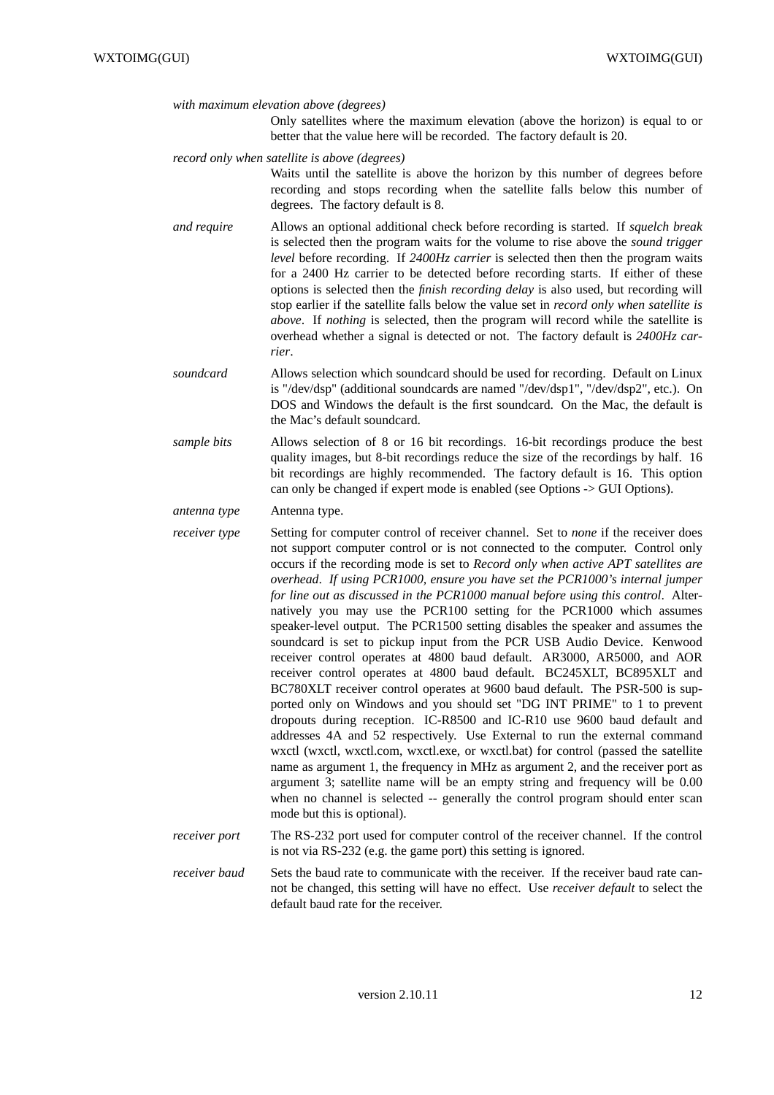*with maximum elevation above (degrees)*

Only satellites where the maximum elevation (above the horizon) is equal to or better that the value here will be recorded. The factory default is 20.

*record only when satellite is above (degrees)*

Waits until the satellite is above the horizon by this number of degrees before recording and stops recording when the satellite falls below this number of degrees. The factory default is 8.

*and require* Allows an optional additional check before recording is started. If *squelch break* is selected then the program waits for the volume to rise above the *sound trigger level* before recording. If 2400Hz carrier is selected then then the program waits for a 2400 Hz carrier to be detected before recording starts. If either of these options is selected then the *finish recording delay* is also used, but recording will stop earlier if the satellite falls below the value set in *record only when satellite is above*. If *nothing* is selected, then the program will record while the satellite is overhead whether a signal is detected or not. The factory default is *2400Hz carrier*.

*soundcard* Allows selection which soundcard should be used for recording. Default on Linux is "/dev/dsp" (additional soundcards are named "/dev/dsp1", "/dev/dsp2", etc.). On DOS and Windows the default is the first soundcard. On the Mac, the default is the Mac's default soundcard.

*sample bits* Allows selection of 8 or 16 bit recordings. 16-bit recordings produce the best quality images, but 8-bit recordings reduce the size of the recordings by half. 16 bit recordings are highly recommended. The factory default is 16. This option can only be changed if expert mode is enabled (see Options -> GUI Options).

*antenna type* Antenna type.

*receiver type* Setting for computer control of receiver channel. Set to *none* if the receiver does not support computer control or is not connected to the computer. Control only occurs if the recording mode is set to *Record only when active APT satellites are overhead*. *If using PCR1000, ensure you have set the PCR1000's internal jumper for line out as discussed in the PCR1000 manual before using this control*. Alternatively you may use the PCR100 setting for the PCR1000 which assumes speaker-level output. The PCR1500 setting disables the speaker and assumes the soundcard is set to pickup input from the PCR USB Audio Device. Kenwood receiver control operates at 4800 baud default. AR3000, AR5000, and AOR receiver control operates at 4800 baud default. BC245XLT, BC895XLT and BC780XLT receiver control operates at 9600 baud default. The PSR-500 is supported only on Windows and you should set "DG INT PRIME" to 1 to prevent dropouts during reception. IC-R8500 and IC-R10 use 9600 baud default and addresses 4A and 52 respectively. Use External to run the external command wxctl (wxctl, wxctl.com, wxctl.exe, or wxctl.bat) for control (passed the satellite name as argument 1, the frequency in MHz as argument 2, and the receiver port as argument 3; satellite name will be an empty string and frequency will be 0.00 when no channel is selected -- generally the control program should enter scan mode but this is optional).

*receiver port* The RS-232 port used for computer control of the receiver channel. If the control is not via RS-232 (e.g. the game port) this setting is ignored.

*receiver baud* Sets the baud rate to communicate with the receiver. If the receiver baud rate cannot be changed, this setting will have no effect. Use *receiver default* to select the default baud rate for the receiver.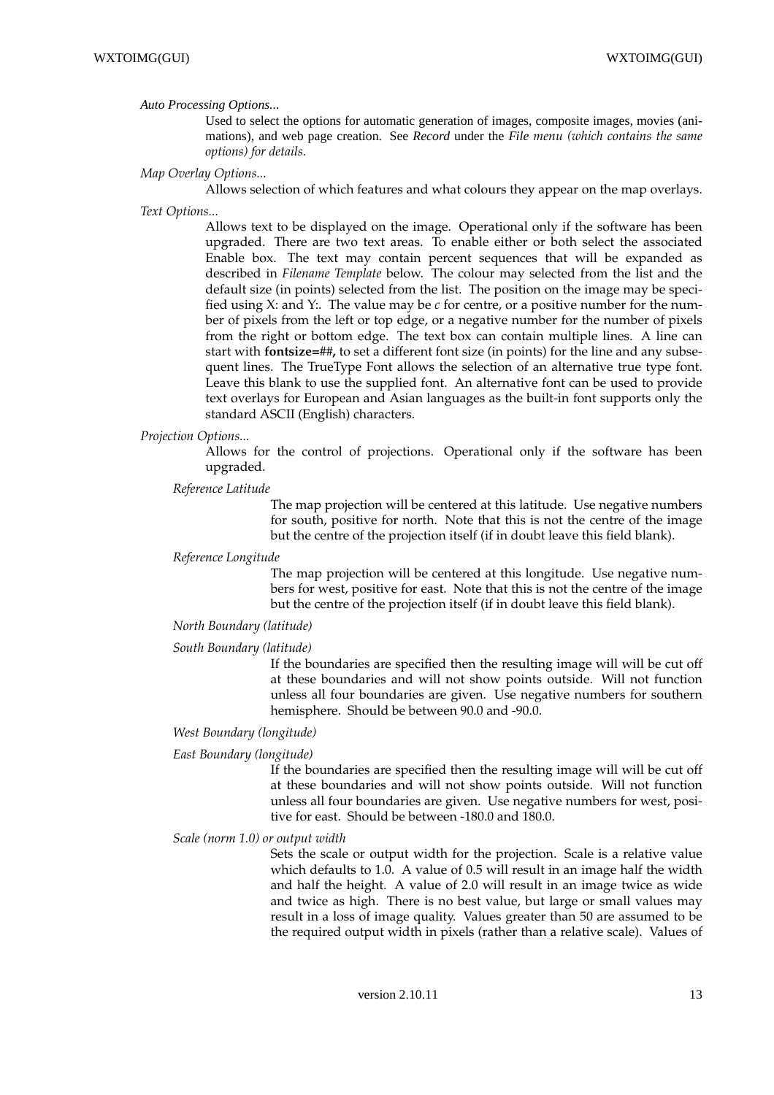#### *Auto Processing Options...*

Used to select the options for automatic generation of images, composite images, movies (animations), and web page creation. See *Record* under the *File menu (which contains the same options) for details.*

#### *Map Overlay Options...*

Allows selection of which features and what colours they appear on the map overlays.

*Text Options...*

Allows text to be displayed on the image. Operational only if the software has been upgraded. There are two text areas. To enable either or both select the associated Enable box. The text may contain percent sequences that will be expanded as described in *Filename Template* below. The colour may selected from the list and the default size (in points) selected from the list. The position on the image may be specified using X: and Y:. The value may be *c* for centre, or a positive number for the number of pixels from the left or top edge, or a negative number for the number of pixels from the right or bottom edge. The text box can contain multiple lines. A line can start with **fontsize=***##***,** to set a different font size (in points) for the line and any subsequent lines. The TrueType Font allows the selection of an alternative true type font. Leave this blank to use the supplied font. An alternative font can be used to provide text overlays for European and Asian languages as the built-in font supports only the standard ASCII (English) characters.

#### *Projection Options...*

Allows for the control of projections. Operational only if the software has been upgraded.

#### *Reference Latitude*

The map projection will be centered at this latitude. Use negative numbers for south, positive for north. Note that this is not the centre of the image but the centre of the projection itself (if in doubt leave this field blank).

#### *Reference Longitude*

The map projection will be centered at this longitude. Use negative numbers for west, positive for east. Note that this is not the centre of the image but the centre of the projection itself (if in doubt leave this field blank).

#### *North Boundary (latitude)*

#### *South Boundary (latitude)*

If the boundaries are specified then the resulting image will will be cut off at these boundaries and will not show points outside. Will not function unless all four boundaries are given. Use negative numbers for southern hemisphere. Should be between 90.0 and -90.0.

### *West Boundary (longitude)*

#### *East Boundary (longitude)*

If the boundaries are specified then the resulting image will will be cut off at these boundaries and will not show points outside. Will not function unless all four boundaries are given. Use negative numbers for west, positive for east. Should be between -180.0 and 180.0.

#### *Scale (norm 1.0) or output width*

Sets the scale or output width for the projection. Scale is a relative value which defaults to 1.0. A value of 0.5 will result in an image half the width and half the height. A value of 2.0 will result in an image twice as wide and twice as high. There is no best value, but large or small values may result in a loss of image quality. Values greater than 50 are assumed to be the required output width in pixels (rather than a relative scale). Values of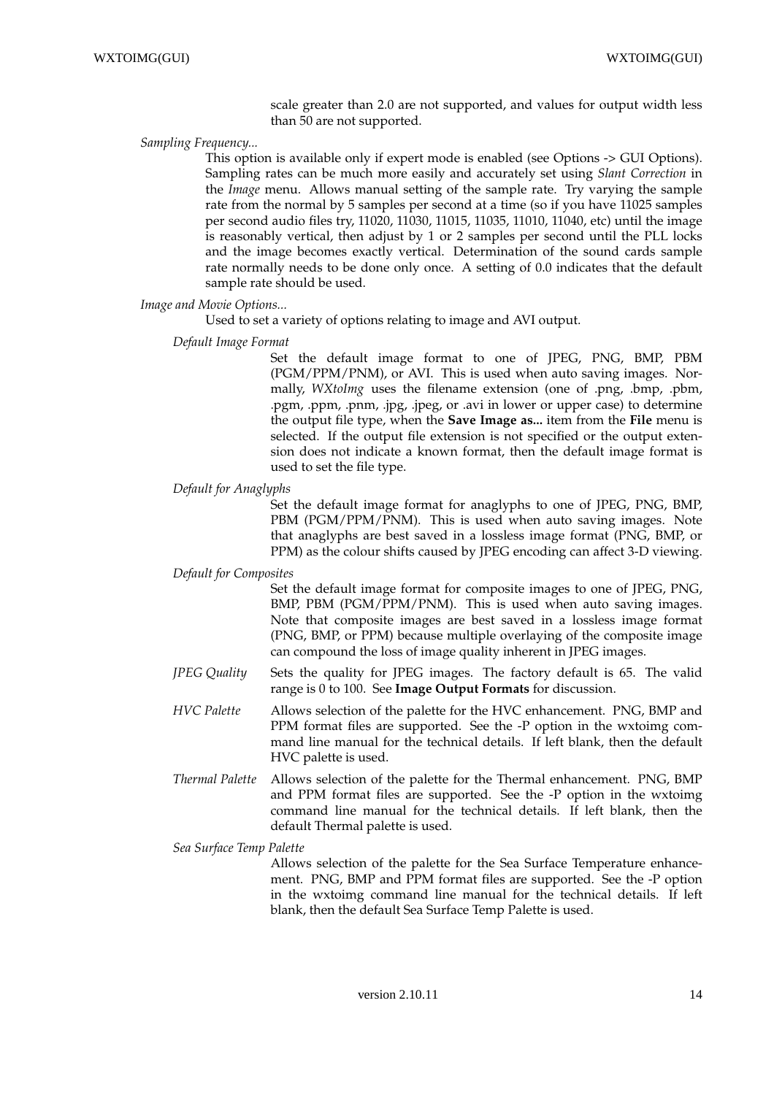scale greater than 2.0 are not supported, and values for output width less than 50 are not supported.

### *Sampling Frequency...*

This option is available only if expert mode is enabled (see Options -> GUI Options). Sampling rates can be much more easily and accurately set using *Slant Correction* in the *Image* menu. Allows manual setting of the sample rate. Try varying the sample rate from the normal by 5 samples per second at a time (so if you have 11025 samples per second audio files try, 11020, 11030, 11015, 11035, 11010, 11040, etc) until the image is reasonably vertical, then adjust by 1 or 2 samples per second until the PLL locks and the image becomes exactly vertical. Determination of the sound cards sample rate normally needs to be done only once. A setting of 0.0 indicates that the default sample rate should be used.

#### *Image and Movie Options...*

Used to set a variety of options relating to image and AVI output.

### *Default Image Format*

Set the default image format to one of JPEG, PNG, BMP, PBM (PGM/PPM/PNM), or AVI. This is used when auto saving images. Normally, *WXtoImg* uses the filename extension (one of .png, .bmp, .pbm, .pgm, .ppm, .pnm, .jpg, .jpeg, or .avi in lower or upper case) to determine the output file type, when the **Save Image as...** item from the **File** menu is selected. If the output file extension is not specified or the output extension does not indicate a known format, then the default image format is used to set the file type.

### *Default for Anaglyphs*

Set the default image format for anaglyphs to one of JPEG, PNG, BMP, PBM (PGM/PPM/PNM). This is used when auto saving images. Note that anaglyphs are best saved in a lossless image format (PNG, BMP, or PPM) as the colour shifts caused by JPEG encoding can affect 3-D viewing.

### *Default for Composites*

Set the default image format for composite images to one of JPEG, PNG, BMP, PBM (PGM/PPM/PNM). This is used when auto saving images. Note that composite images are best saved in a lossless image format (PNG, BMP, or PPM) because multiple overlaying of the composite image can compound the loss of image quality inherent in JPEG images.

- *JPEG Quality* Sets the quality for JPEG images. The factory default is 65. The valid range is 0 to 100. See **Image Output Formats** for discussion.
- *HVC Palette* Allows selection of the palette for the HVC enhancement. PNG, BMP and PPM format files are supported. See the -P option in the wxtoimg command line manual for the technical details. If left blank, then the default HVC palette is used.
- *Thermal Palette* Allows selection of the palette for the Thermal enhancement. PNG, BMP and PPM format files are supported. See the -P option in the wxtoimg command line manual for the technical details. If left blank, then the default Thermal palette is used.

*Sea Surface Temp Palette*

Allows selection of the palette for the Sea Surface Temperature enhancement. PNG, BMP and PPM format files are supported. See the -P option in the wxtoimg command line manual for the technical details. If left blank, then the default Sea Surface Temp Palette is used.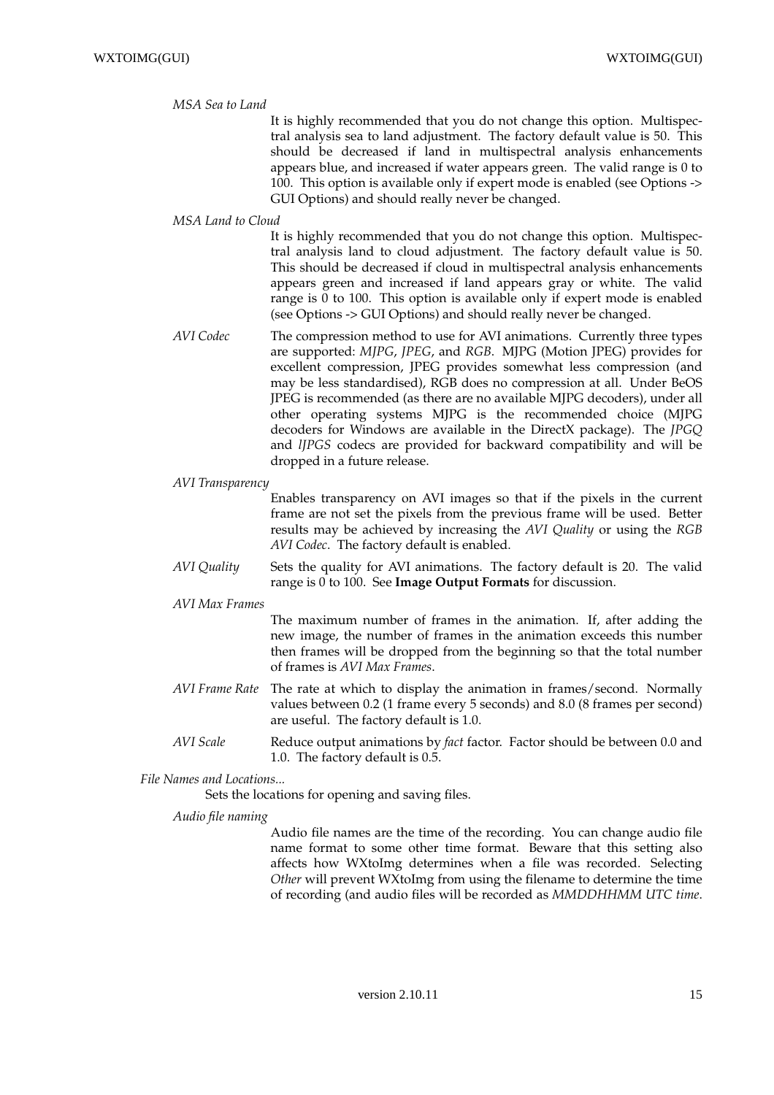#### *MSA Sea to Land*

It is highly recommended that you do not change this option. Multispectral analysis sea to land adjustment. The factory default value is 50. This should be decreased if land in multispectral analysis enhancements appears blue, and increased if water appears green. The valid range is 0 to 100. This option is available only if expert mode is enabled (see Options -> GUI Options) and should really never be changed.

#### *MSA Land to Cloud*

It is highly recommended that you do not change this option. Multispectral analysis land to cloud adjustment. The factory default value is 50. This should be decreased if cloud in multispectral analysis enhancements appears green and increased if land appears gray or white. The valid range is 0 to 100. This option is available only if expert mode is enabled (see Options -> GUI Options) and should really never be changed.

- *AVI Codec* The compression method to use for AVI animations. Currently three types are supported: *MJPG*, *JPEG*, and *RGB*. MJPG (Motion JPEG) provides for excellent compression, JPEG provides somewhat less compression (and may be less standardised), RGB does no compression at all. Under BeOS JPEG is recommended (as there are no available MJPG decoders), under all other operating systems MJPG is the recommended choice (MJPG decoders for Windows are available in the DirectX package). The *JPGQ* and *lJPGS* codecs are provided for backward compatibility and will be dropped in a future release.
- *AVI Transparency*

Enables transparency on AVI images so that if the pixels in the current frame are not set the pixels from the previous frame will be used. Better results may be achieved by increasing the *AVI Quality* or using the *RGB AVI Codec*. The factory default is enabled.

*AVI Quality* Sets the quality for AVI animations. The factory default is 20. The valid range is 0 to 100. See **Image Output Formats** for discussion.

*AVI Max Frames*

The maximum number of frames in the animation. If, after adding the new image, the number of frames in the animation exceeds this number then frames will be dropped from the beginning so that the total number of frames is *AVI Max Frames*.

- *AVI Frame Rate* The rate at which to display the animation in frames/second. Normally values between 0.2 (1 frame every 5 seconds) and 8.0 (8 frames per second) are useful. The factory default is 1.0.
- *AVI Scale* Reduce output animations by *fact* factor. Factor should be between 0.0 and 1.0. The factory default is 0.5.

*File Names and Locations...*

Sets the locations for opening and saving files.

*Audio file naming*

Audio file names are the time of the recording. You can change audio file name format to some other time format. Beware that this setting also affects how WXtoImg determines when a file was recorded. Selecting *Other* will prevent WXtoImg from using the filename to determine the time of recording (and audio files will be recorded as *MMDDHHMM UTC time*.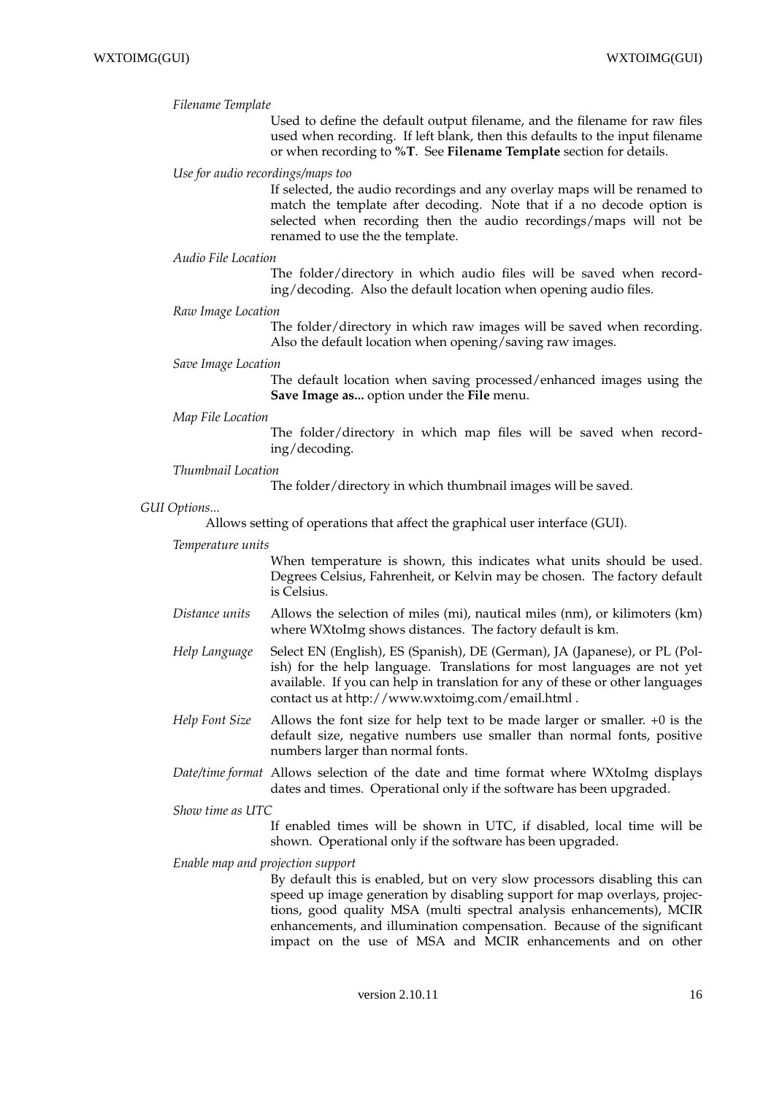#### *Filename Template*

Used to define the default output filename, and the filename for raw files used when recording. If left blank, then this defaults to the input filename or when recording to **%T**. See **Filename Template** section for details.

#### *Use for audio recordings/maps too*

If selected, the audio recordings and any overlay maps will be renamed to match the template after decoding. Note that if a no decode option is selected when recording then the audio recordings/maps will not be renamed to use the the template.

#### *Audio File Location*

The folder/directory in which audio files will be saved when recording/decoding. Also the default location when opening audio files.

### *Raw Image Location*

The folder/directory in which raw images will be saved when recording. Also the default location when opening/saving raw images.

### *Save Image Location*

The default location when saving processed/enhanced images using the **Save Image as...** option under the **File** menu.

#### *Map File Location*

The folder/directory in which map files will be saved when recording/decoding.

#### *Thumbnail Location*

The folder/directory in which thumbnail images will be saved.

### *GUI Options...*

Allows setting of operations that affect the graphical user interface (GUI).

#### *Temperature units*

When temperature is shown, this indicates what units should be used. Degrees Celsius, Fahrenheit, or Kelvin may be chosen. The factory default is Celsius.

- *Distance units* Allows the selection of miles (mi), nautical miles (nm), or kilimoters (km) where WXtoImg shows distances. The factory default is km.
- *Help Language* Select EN (English), ES (Spanish), DE (German), JA (Japanese), or PL (Polish) for the help language. Translations for most languages are not yet available. If you can help in translation for any of these or other languages contact us at http://www.wxtoimg.com/email.html .
- *Help Font Size* Allows the font size for help text to be made larger or smaller. +0 is the default size, negative numbers use smaller than normal fonts, positive numbers larger than normal fonts.
- *Date/time format* Allows selection of the date and time format where WXtoImg displays dates and times. Operational only if the software has been upgraded.

#### *Show time as UTC*

If enabled times will be shown in UTC, if disabled, local time will be shown. Operational only if the software has been upgraded.

*Enable map and projection support*

By default this is enabled, but on very slow processors disabling this can speed up image generation by disabling support for map overlays, projections, good quality MSA (multi spectral analysis enhancements), MCIR enhancements, and illumination compensation. Because of the significant impact on the use of MSA and MCIR enhancements and on other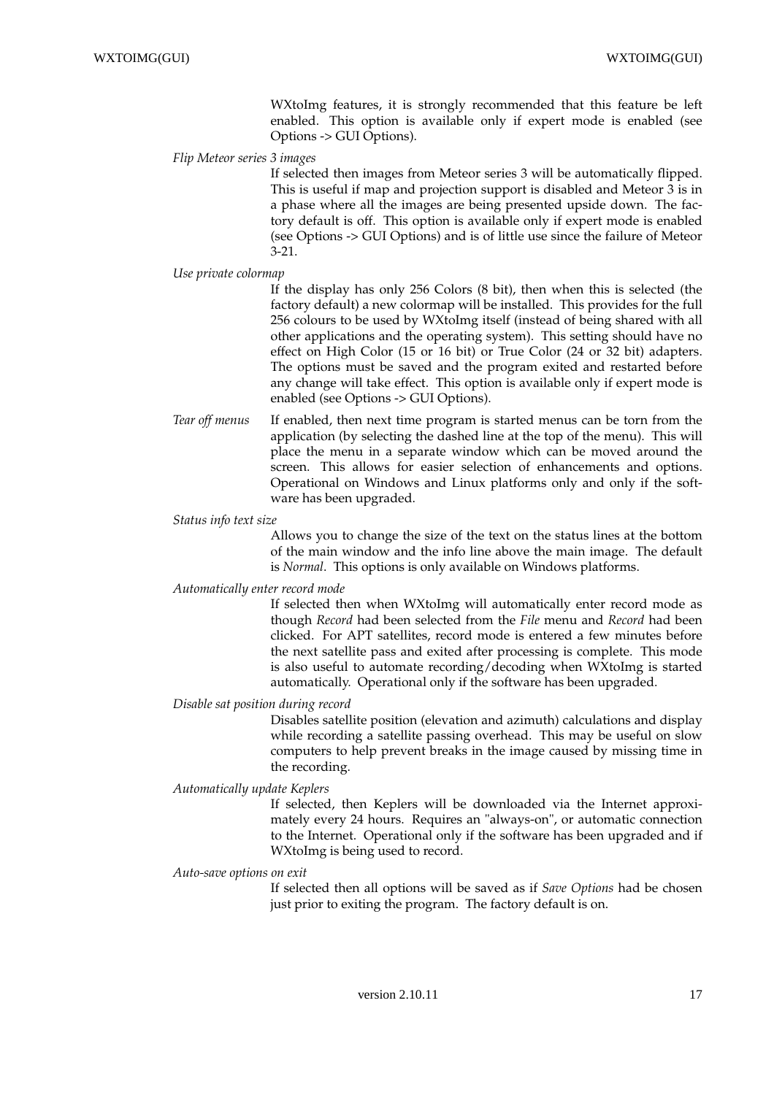WXtoImg features, it is strongly recommended that this feature be left enabled. This option is available only if expert mode is enabled (see Options -> GUI Options).

### *Flip Meteor series 3 images*

If selected then images from Meteor series 3 will be automatically flipped. This is useful if map and projection support is disabled and Meteor 3 is in a phase where all the images are being presented upside down. The factory default is off. This option is available only if expert mode is enabled (see Options -> GUI Options) and is of little use since the failure of Meteor 3-21.

### *Use private colormap*

If the display has only 256 Colors (8 bit), then when this is selected (the factory default) a new colormap will be installed. This provides for the full 256 colours to be used by WXtoImg itself (instead of being shared with all other applications and the operating system). This setting should have no effect on High Color (15 or 16 bit) or True Color (24 or 32 bit) adapters. The options must be saved and the program exited and restarted before any change will take effect. This option is available only if expert mode is enabled (see Options -> GUI Options).

*Tear off menus* If enabled, then next time program is started menus can be torn from the application (by selecting the dashed line at the top of the menu). This will place the menu in a separate window which can be moved around the screen. This allows for easier selection of enhancements and options. Operational on Windows and Linux platforms only and only if the software has been upgraded.

#### *Status info text size*

Allows you to change the size of the text on the status lines at the bottom of the main window and the info line above the main image. The default is *Normal*. This options is only available on Windows platforms.

### *Automatically enter record mode*

If selected then when WXtoImg will automatically enter record mode as though *Record* had been selected from the *File* menu and *Record* had been clicked. For APT satellites, record mode is entered a few minutes before the next satellite pass and exited after processing is complete. This mode is also useful to automate recording/decoding when WXtoImg is started automatically. Operational only if the software has been upgraded.

#### *Disable sat position during record*

Disables satellite position (elevation and azimuth) calculations and display while recording a satellite passing overhead. This may be useful on slow computers to help prevent breaks in the image caused by missing time in the recording.

#### *Automatically update Keplers*

If selected, then Keplers will be downloaded via the Internet approximately every 24 hours. Requires an "always-on", or automatic connection to the Internet. Operational only if the software has been upgraded and if WXtoImg is being used to record.

#### *Auto-save options on exit*

If selected then all options will be saved as if *Save Options* had be chosen just prior to exiting the program. The factory default is on.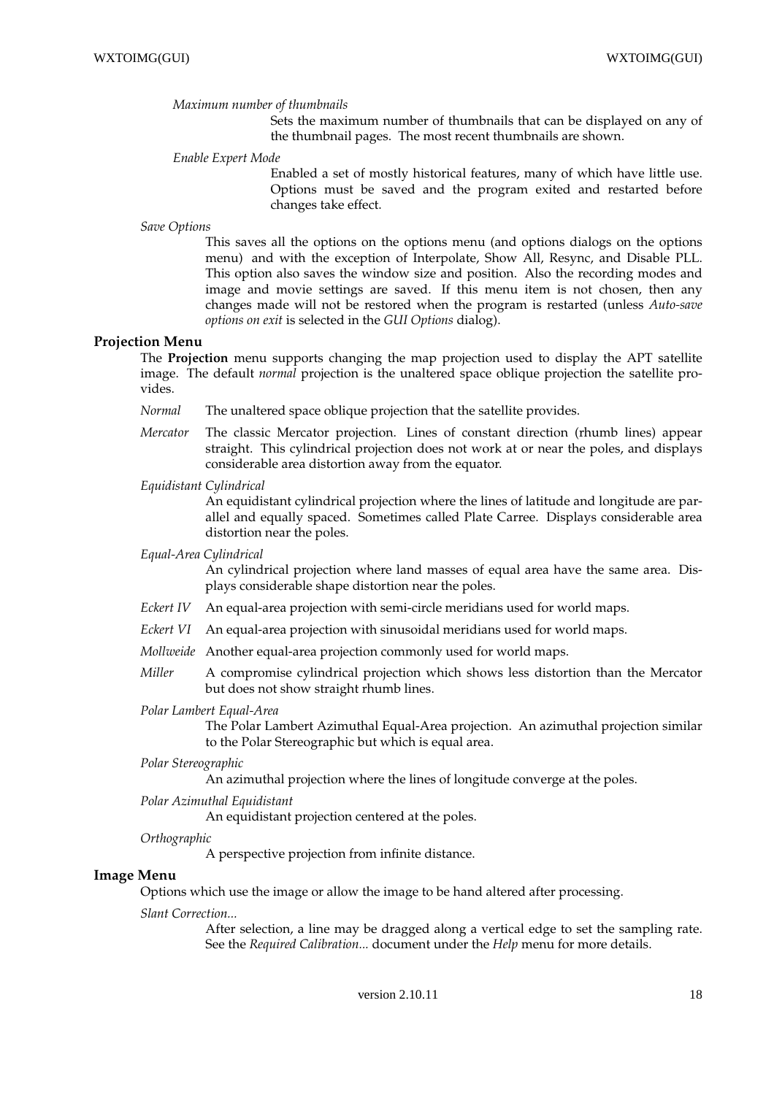#### *Maximum number of thumbnails*

Sets the maximum number of thumbnails that can be displayed on any of the thumbnail pages. The most recent thumbnails are shown.

*Enable Expert Mode*

Enabled a set of mostly historical features, many of which have little use. Options must be saved and the program exited and restarted before changes take effect.

*Save Options*

This saves all the options on the options menu (and options dialogs on the options menu) and with the exception of Interpolate, Show All, Resync, and Disable PLL. This option also saves the window size and position. Also the recording modes and image and movie settings are saved. If this menu item is not chosen, then any changes made will not be restored when the program is restarted (unless *Auto-save options on exit* is selected in the *GUI Options* dialog).

### **Projection Menu**

The **Projection** menu supports changing the map projection used to display the APT satellite image. The default *normal* projection is the unaltered space oblique projection the satellite provides.

- *Normal* The unaltered space oblique projection that the satellite provides.
- *Mercator* The classic Mercator projection. Lines of constant direction (rhumb lines) appear straight. This cylindrical projection does not work at or near the poles, and displays considerable area distortion away from the equator.

#### *Equidistant Cylindrical*

An equidistant cylindrical projection where the lines of latitude and longitude are parallel and equally spaced. Sometimes called Plate Carree. Displays considerable area distortion near the poles.

#### *Equal-Area Cylindrical*

An cylindrical projection where land masses of equal area have the same area. Displays considerable shape distortion near the poles.

- *Eckert IV* An equal-area projection with semi-circle meridians used for world maps.
- *Eckert VI* An equal-area projection with sinusoidal meridians used for world maps.
- *Mollweide* Another equal-area projection commonly used for world maps.
- *Miller* A compromise cylindrical projection which shows less distortion than the Mercator but does not show straight rhumb lines.

### *Polar Lambert Equal-Area*

The Polar Lambert Azimuthal Equal-Area projection. An azimuthal projection similar to the Polar Stereographic but which is equal area.

#### *Polar Stereographic*

An azimuthal projection where the lines of longitude converge at the poles.

*Polar Azimuthal Equidistant*

An equidistant projection centered at the poles.

#### *Orthographic*

A perspective projection from infinite distance.

### **Image Menu**

Options which use the image or allow the image to be hand altered after processing.

### *Slant Correction...*

After selection, a line may be dragged along a vertical edge to set the sampling rate. See the *Required Calibration...* document under the *Help* menu for more details.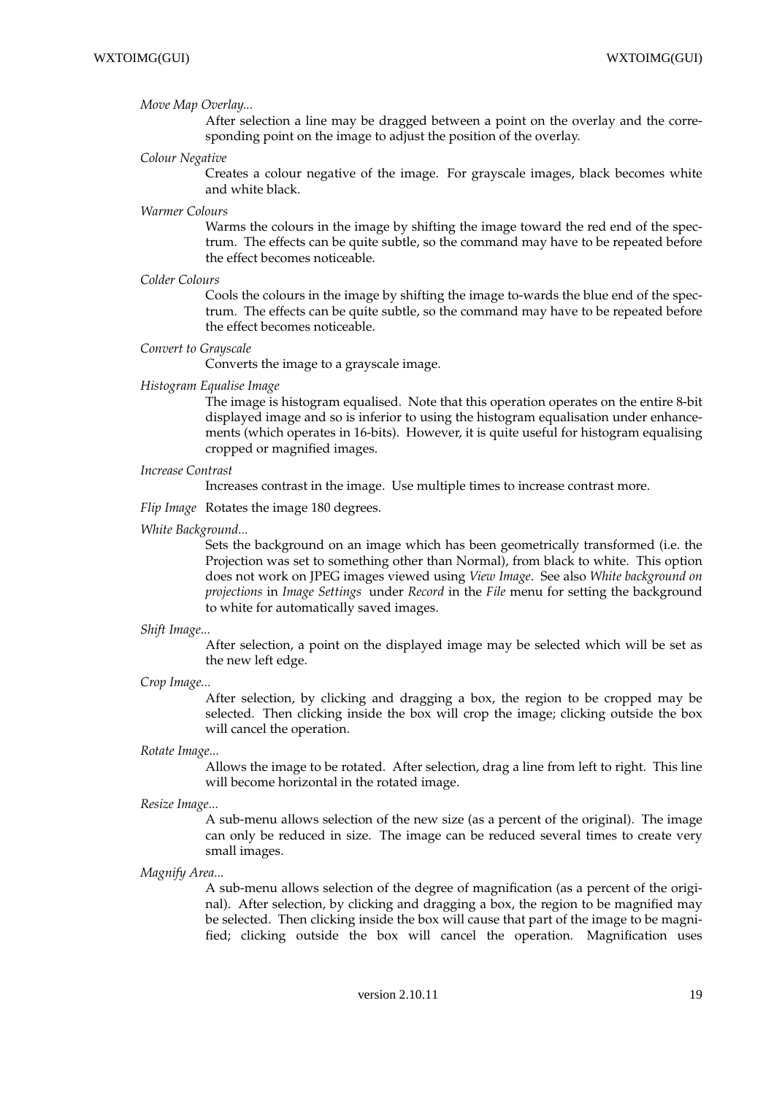#### *Move Map Overlay...*

After selection a line may be dragged between a point on the overlay and the corresponding point on the image to adjust the position of the overlay.

*Colour Negative*

Creates a colour negative of the image. For grayscale images, black becomes white and white black.

*Warmer Colours*

Warms the colours in the image by shifting the image toward the red end of the spectrum. The effects can be quite subtle, so the command may have to be repeated before the effect becomes noticeable.

*Colder Colours*

Cools the colours in the image by shifting the image to-wards the blue end of the spectrum. The effects can be quite subtle, so the command may have to be repeated before the effect becomes noticeable.

#### *Convert to Grayscale*

Converts the image to a grayscale image.

*Histogram Equalise Image*

The image is histogram equalised. Note that this operation operates on the entire 8-bit displayed image and so is inferior to using the histogram equalisation under enhancements (which operates in 16-bits). However, it is quite useful for histogram equalising cropped or magnified images.

*Increase Contrast*

Increases contrast in the image. Use multiple times to increase contrast more.

- *Flip Image* Rotates the image 180 degrees.
- *White Background...*

Sets the background on an image which has been geometrically transformed (i.e. the Projection was set to something other than Normal), from black to white. This option does not work on JPEG images viewed using *View Image*. See also *White background on projections* in *Image Settings* under *Record* in the *File* menu for setting the background to white for automatically saved images.

#### *Shift Image...*

After selection, a point on the displayed image may be selected which will be set as the new left edge.

*Crop Image...*

After selection, by clicking and dragging a box, the region to be cropped may be selected. Then clicking inside the box will crop the image; clicking outside the box will cancel the operation.

#### *Rotate Image...*

Allows the image to be rotated. After selection, drag a line from left to right. This line will become horizontal in the rotated image.

*Resize Image...*

A sub-menu allows selection of the new size (as a percent of the original). The image can only be reduced in size. The image can be reduced several times to create very small images.

*Magnify Area...*

A sub-menu allows selection of the degree of magnification (as a percent of the original). After selection, by clicking and dragging a box, the region to be magnified may be selected. Then clicking inside the box will cause that part of the image to be magnified; clicking outside the box will cancel the operation. Magnification uses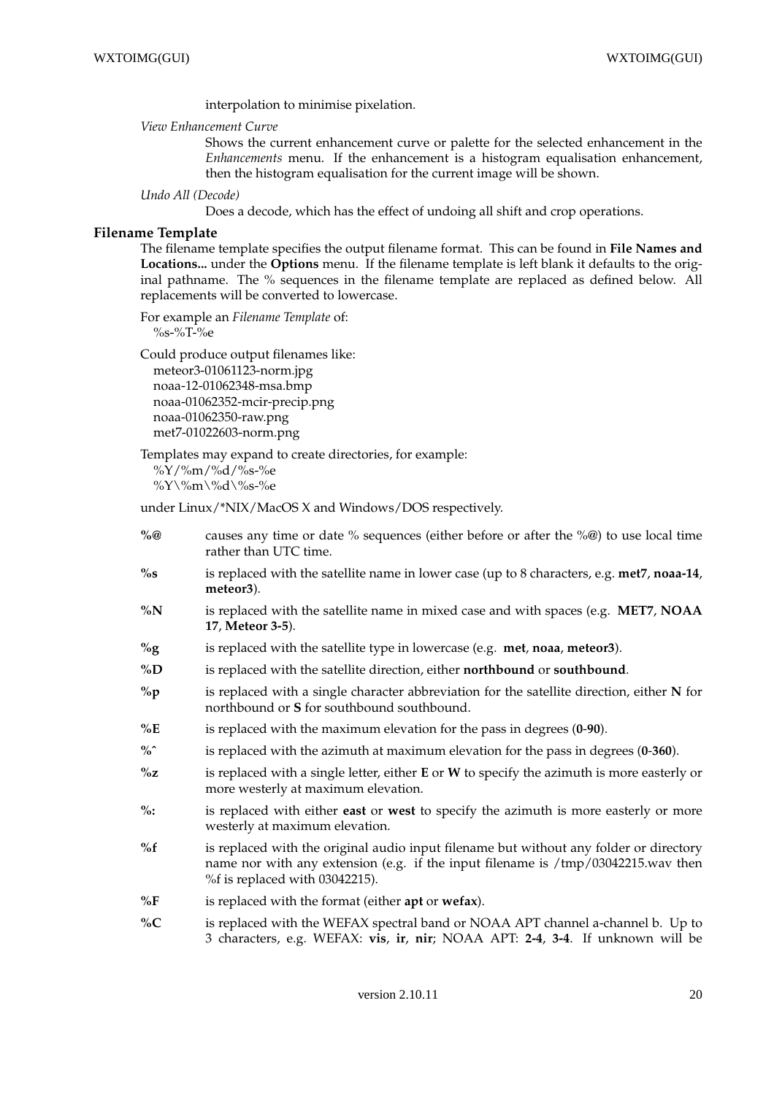interpolation to minimise pixelation.

#### *View Enhancement Curve*

Shows the current enhancement curve or palette for the selected enhancement in the *Enhancements* menu. If the enhancement is a histogram equalisation enhancement, then the histogram equalisation for the current image will be shown.

#### *Undo All (Decode)*

Does a decode, which has the effect of undoing all shift and crop operations.

### **Filename Template**

The filename template specifies the output filename format. This can be found in **File Names and Locations...** under the **Options** menu. If the filename template is left blank it defaults to the original pathname. The % sequences in the filename template are replaced as defined below. All replacements will be converted to lowercase.

For example an *Filename Template* of:

%s-%T-%e

Could produce output filenames like: meteor3-01061123-norm.jpg noaa-12-01062348-msa.bmp noaa-01062352-mcir-precip.png noaa-01062350-raw.png met7-01022603-norm.png

Templates may expand to create directories, for example:

%Y/%m/%d/%s-%e %Y\%m\%d\%s-%e

under Linux/\*NIX/MacOS X and Windows/DOS respectively.

- **%@** causes any time or date % sequences (either before or after the %@) to use local time rather than UTC time.
- **%s** is replaced with the satellite name in lower case (up to 8 characters, e.g. **met7**, **noaa-14**, **meteor3**).
- **%N** is replaced with the satellite name in mixed case and with spaces (e.g. **MET7**, **NOAA 17**, **Meteor 3-5**).
- **%g** is replaced with the satellite type in lowercase (e.g. **met**, **noaa**, **meteor3**).
- **%D** is replaced with the satellite direction, either **northbound** or **southbound**.
- **%p** is replaced with a single character abbreviation for the satellite direction, either **N** for northbound or **S** for southbound southbound.
- **%E** is replaced with the maximum elevation for the pass in degrees (**0**-**90**).
- **%ˆ** is replaced with the azimuth at maximum elevation for the pass in degrees (**0**-**360**).
- **%z** is replaced with a single letter, either **E** or **W** to specify the azimuth is more easterly or more westerly at maximum elevation.
- **%:** is replaced with either **east** or **west** to specify the azimuth is more easterly or more westerly at maximum elevation.
- **%f** is replaced with the original audio input filename but without any folder or directory name nor with any extension (e.g. if the input filename is /tmp/03042215.wav then %f is replaced with 03042215).
- **%F** is replaced with the format (either **apt** or **wefax**).
- **%C** is replaced with the WEFAX spectral band or NOAA APT channel a-channel b. Up to 3 characters, e.g. WEFAX: **vis**, **ir**, **nir**; NOAA APT: **2-4**, **3-4**. If unknown will be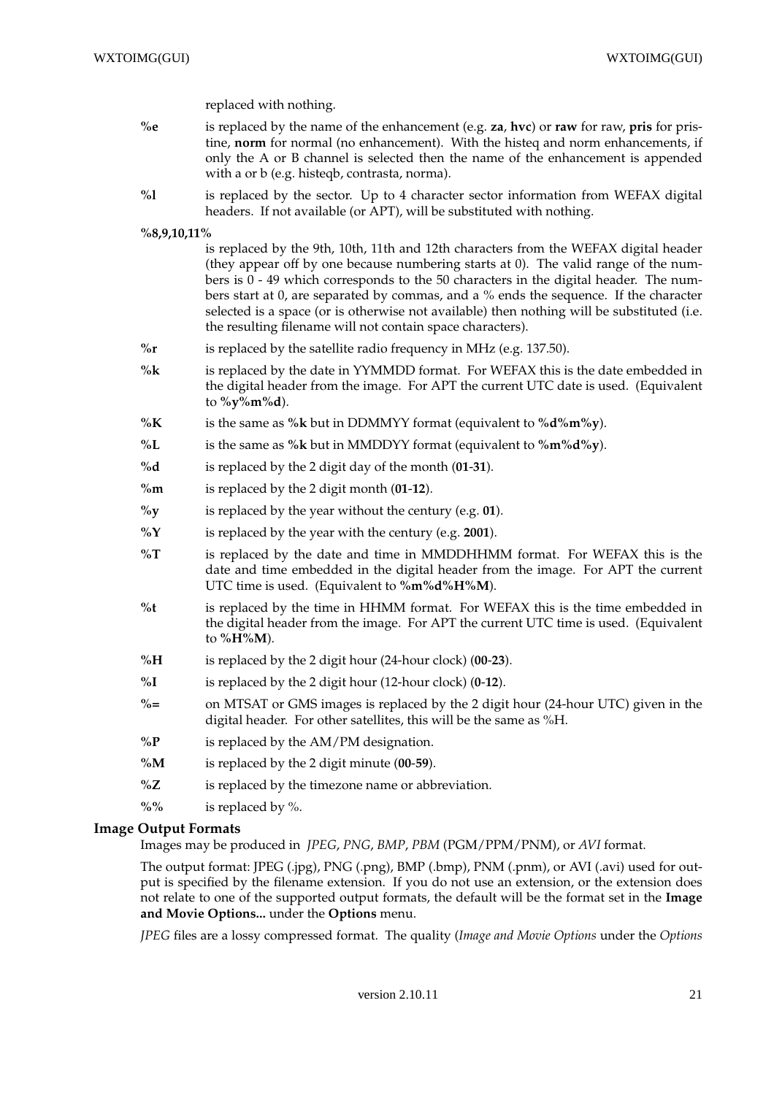replaced with nothing.

- **%e** is replaced by the name of the enhancement (e.g. **za**, **hvc**) or **raw** for raw, **pris** for pristine, **norm** for normal (no enhancement). With the histeq and norm enhancements, if only the A or B channel is selected then the name of the enhancement is appended with a or b (e.g. histeqb, contrasta, norma).
- **%l** is replaced by the sector. Up to 4 character sector information from WEFAX digital headers. If not available (or APT), will be substituted with nothing.

**%8,9,10,11%**

is replaced by the 9th, 10th, 11th and 12th characters from the WEFAX digital header (they appear off by one because numbering starts at 0). The valid range of the numbers is  $0 - 49$  which corresponds to the 50 characters in the digital header. The numbers start at 0, are separated by commas, and a % ends the sequence. If the character selected is a space (or is otherwise not available) then nothing will be substituted (i.e. the resulting filename will not contain space characters).

- **%r** is replaced by the satellite radio frequency in MHz (e.g. 137.50).
- **%k** is replaced by the date in YYMMDD format. For WEFAX this is the date embedded in the digital header from the image. For APT the current UTC date is used. (Equivalent to **%y%m%d**).
- **%K** is the same as **%k** but in DDMMYY format (equivalent to **%d%m%y**).
- **%L** is the same as **%k** but in MMDDYY format (equivalent to **%m%d%y**).
- **%d** is replaced by the 2 digit day of the month (**01**-**31**).
- **%m** is replaced by the 2 digit month (**01**-**12**).
- **%y** is replaced by the year without the century (e.g. **01**).
- **%Y** is replaced by the year with the century (e.g. **2001**).
- **%T** is replaced by the date and time in MMDDHHMM format. For WEFAX this is the date and time embedded in the digital header from the image. For APT the current UTC time is used. (Equivalent to **%m%d%H%M**).
- **%t** is replaced by the time in HHMM format. For WEFAX this is the time embedded in the digital header from the image. For APT the current UTC time is used. (Equivalent to **%H%M**).
- **%H** is replaced by the 2 digit hour (24-hour clock) (**00**-**23**).
- **%I** is replaced by the 2 digit hour (12-hour clock) (**0**-**12**).
- **%=** on MTSAT or GMS images is replaced by the 2 digit hour (24-hour UTC) given in the digital header. For other satellites, this will be the same as %H.
- **%P** is replaced by the AM/PM designation.
- **%M** is replaced by the 2 digit minute (**00**-**59**).
- **%Z** is replaced by the timezone name or abbreviation.
- **%%** is replaced by %.

#### **Image Output Formats**

Images may be produced in *JPEG*, *PNG*, *BMP*, *PBM* (PGM/PPM/PNM), or *AVI* format.

The output format: JPEG (.jpg), PNG (.png), BMP (.bmp), PNM (.pnm), or AVI (.avi) used for output is specified by the filename extension. If you do not use an extension, or the extension does not relate to one of the supported output formats, the default will be the format set in the **Image and Movie Options...** under the **Options** menu.

*JPEG* files are a lossy compressed format. The quality (*Image and Movie Options* under the *Options*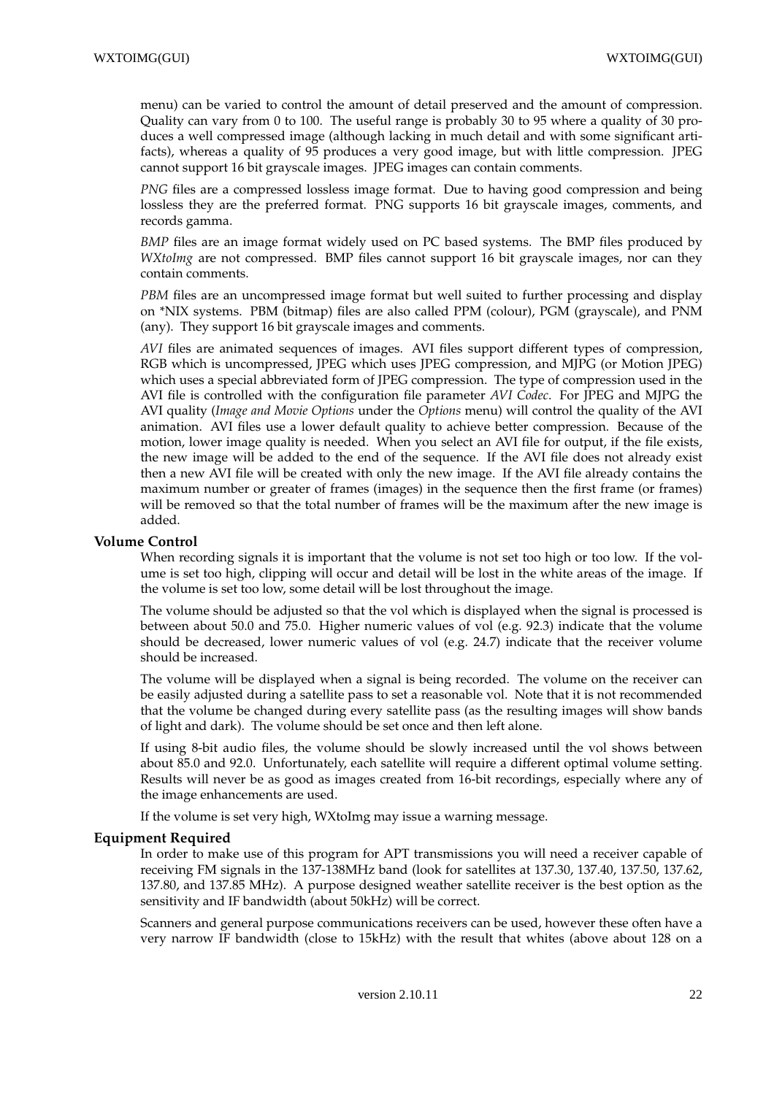menu) can be varied to control the amount of detail preserved and the amount of compression. Quality can vary from 0 to 100. The useful range is probably 30 to 95 where a quality of 30 produces a well compressed image (although lacking in much detail and with some significant artifacts), whereas a quality of 95 produces a very good image, but with little compression. JPEG cannot support 16 bit grayscale images. JPEG images can contain comments.

*PNG* files are a compressed lossless image format. Due to having good compression and being lossless they are the preferred format. PNG supports 16 bit grayscale images, comments, and records gamma.

*BMP* files are an image format widely used on PC based systems. The BMP files produced by *WXtoImg* are not compressed. BMP files cannot support 16 bit grayscale images, nor can they contain comments.

*PBM* files are an uncompressed image format but well suited to further processing and display on \*NIX systems. PBM (bitmap) files are also called PPM (colour), PGM (grayscale), and PNM (any). They support 16 bit grayscale images and comments.

*AVI* files are animated sequences of images. AVI files support different types of compression, RGB which is uncompressed, JPEG which uses JPEG compression, and MJPG (or Motion JPEG) which uses a special abbreviated form of JPEG compression. The type of compression used in the AVI file is controlled with the configuration file parameter *AVI Codec*. For JPEG and MJPG the AVI quality (*Image and Movie Options* under the *Options* menu) will control the quality of the AVI animation. AVI files use a lower default quality to achieve better compression. Because of the motion, lower image quality is needed. When you select an AVI file for output, if the file exists, the new image will be added to the end of the sequence. If the AVI file does not already exist then a new AVI file will be created with only the new image. If the AVI file already contains the maximum number or greater of frames (images) in the sequence then the first frame (or frames) will be removed so that the total number of frames will be the maximum after the new image is added.

### **Volume Control**

When recording signals it is important that the volume is not set too high or too low. If the volume is set too high, clipping will occur and detail will be lost in the white areas of the image. If the volume is set too low, some detail will be lost throughout the image.

The volume should be adjusted so that the vol which is displayed when the signal is processed is between about 50.0 and 75.0. Higher numeric values of vol (e.g. 92.3) indicate that the volume should be decreased, lower numeric values of vol (e.g. 24.7) indicate that the receiver volume should be increased.

The volume will be displayed when a signal is being recorded. The volume on the receiver can be easily adjusted during a satellite pass to set a reasonable vol. Note that it is not recommended that the volume be changed during every satellite pass (as the resulting images will show bands of light and dark). The volume should be set once and then left alone.

If using 8-bit audio files, the volume should be slowly increased until the vol shows between about 85.0 and 92.0. Unfortunately, each satellite will require a different optimal volume setting. Results will never be as good as images created from 16-bit recordings, especially where any of the image enhancements are used.

If the volume is set very high, WXtoImg may issue a warning message.

# **Equipment Required**

In order to make use of this program for APT transmissions you will need a receiver capable of receiving FM signals in the 137-138MHz band (look for satellites at 137.30, 137.40, 137.50, 137.62, 137.80, and 137.85 MHz). A purpose designed weather satellite receiver is the best option as the sensitivity and IF bandwidth (about 50kHz) will be correct.

Scanners and general purpose communications receivers can be used, however these often have a very narrow IF bandwidth (close to 15kHz) with the result that whites (above about 128 on a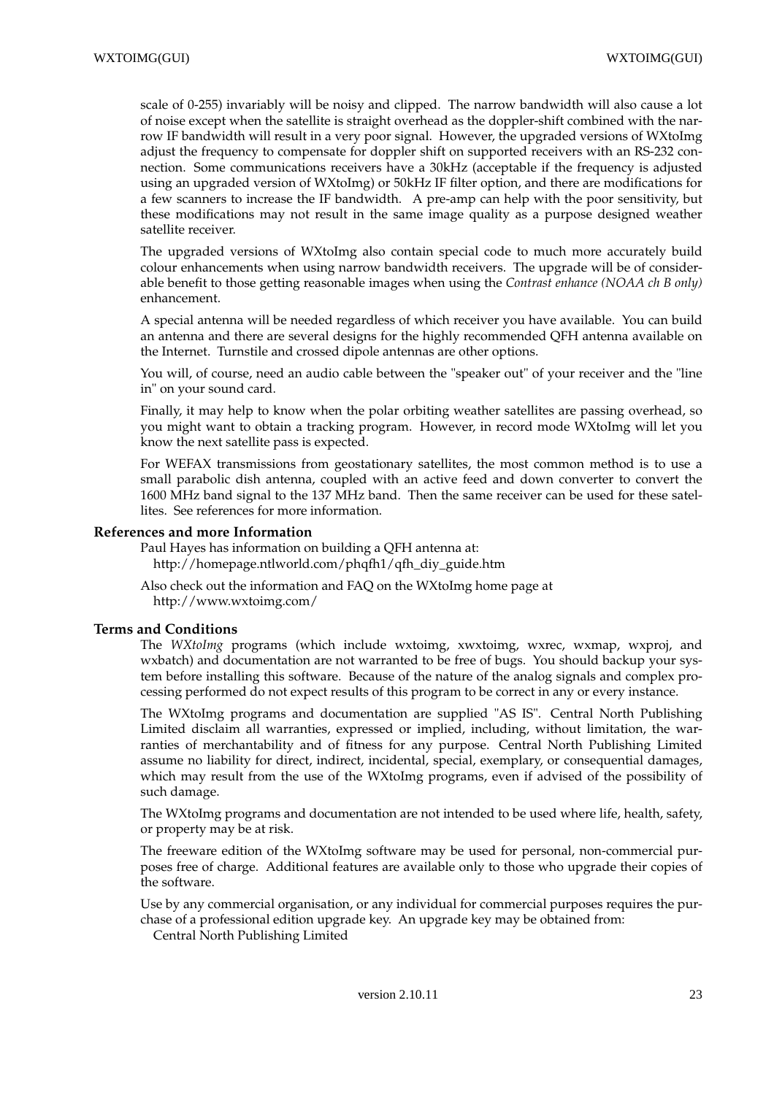scale of 0-255) invariably will be noisy and clipped. The narrow bandwidth will also cause a lot of noise except when the satellite is straight overhead as the doppler-shift combined with the narrow IF bandwidth will result in a very poor signal. However, the upgraded versions of WXtoImg adjust the frequency to compensate for doppler shift on supported receivers with an RS-232 connection. Some communications receivers have a 30kHz (acceptable if the frequency is adjusted using an upgraded version of WXtoImg) or 50kHz IF filter option, and there are modifications for a few scanners to increase the IF bandwidth. A pre-amp can help with the poor sensitivity, but these modifications may not result in the same image quality as a purpose designed weather satellite receiver.

The upgraded versions of WXtoImg also contain special code to much more accurately build colour enhancements when using narrow bandwidth receivers. The upgrade will be of considerable benefit to those getting reasonable images when using the *Contrast enhance (NOAA ch B only)* enhancement.

A special antenna will be needed regardless of which receiver you have available. You can build an antenna and there are several designs for the highly recommended QFH antenna available on the Internet. Turnstile and crossed dipole antennas are other options.

You will, of course, need an audio cable between the "speaker out" of your receiver and the "line in" on your sound card.

Finally, it may help to know when the polar orbiting weather satellites are passing overhead, so you might want to obtain a tracking program. However, in record mode WXtoImg will let you know the next satellite pass is expected.

For WEFAX transmissions from geostationary satellites, the most common method is to use a small parabolic dish antenna, coupled with an active feed and down converter to convert the 1600 MHz band signal to the 137 MHz band. Then the same receiver can be used for these satellites. See references for more information.

### **References and more Information**

Paul Hayes has information on building a QFH antenna at: http://homepage.ntlworld.com/phqfh1/qfh\_diy\_guide.htm

Also check out the information and FAQ on the WXtoImg home page at http://www.wxtoimg.com/

### **Terms and Conditions**

The *WXtoImg* programs (which include wxtoimg, xwxtoimg, wxrec, wxmap, wxproj, and wxbatch) and documentation are not warranted to be free of bugs. You should backup your system before installing this software. Because of the nature of the analog signals and complex processing performed do not expect results of this program to be correct in any or every instance.

The WXtoImg programs and documentation are supplied "AS IS". Central North Publishing Limited disclaim all warranties, expressed or implied, including, without limitation, the warranties of merchantability and of fitness for any purpose. Central North Publishing Limited assume no liability for direct, indirect, incidental, special, exemplary, or consequential damages, which may result from the use of the WXtoImg programs, even if advised of the possibility of such damage.

The WXtoImg programs and documentation are not intended to be used where life, health, safety, or property may be at risk.

The freeware edition of the WXtoImg software may be used for personal, non-commercial purposes free of charge. Additional features are available only to those who upgrade their copies of the software.

Use by any commercial organisation, or any individual for commercial purposes requires the purchase of a professional edition upgrade key. An upgrade key may be obtained from:

Central North Publishing Limited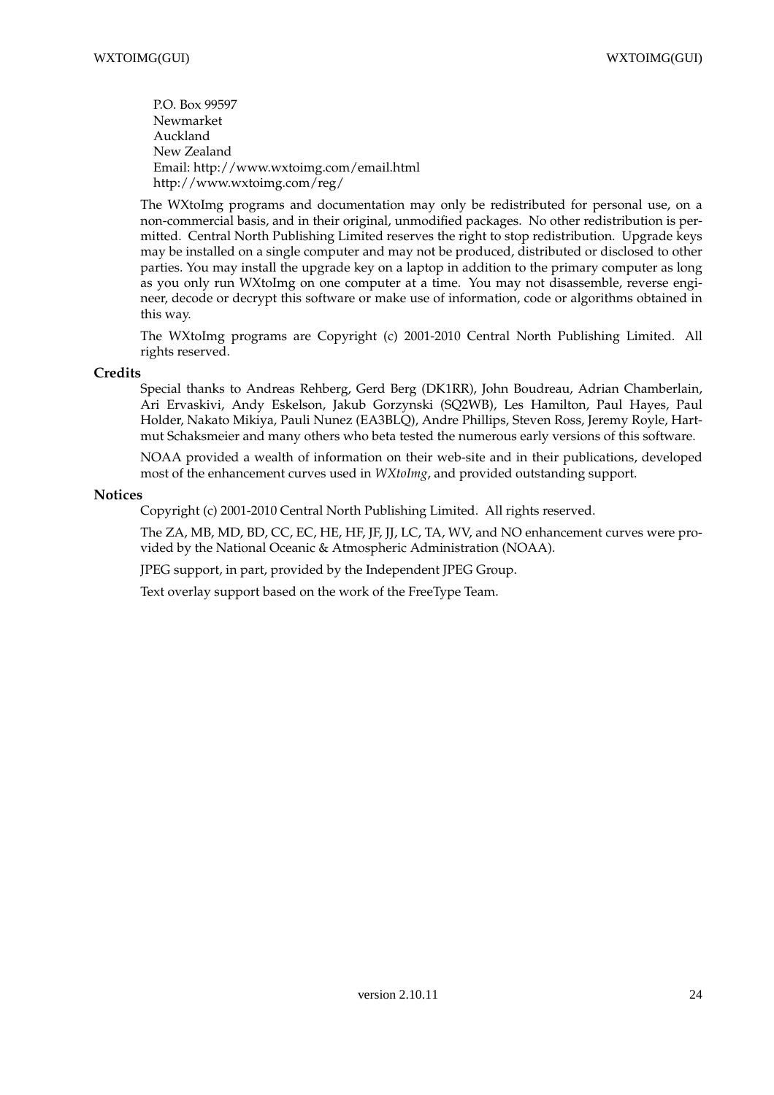P.O. Box 99597 Newmarket Auckland New Zealand Email: http://www.wxtoimg.com/email.html http://www.wxtoimg.com/reg/

The WXtoImg programs and documentation may only be redistributed for personal use, on a non-commercial basis, and in their original, unmodified packages. No other redistribution is permitted. Central North Publishing Limited reserves the right to stop redistribution. Upgrade keys may be installed on a single computer and may not be produced, distributed or disclosed to other parties. You may install the upgrade key on a laptop in addition to the primary computer as long as you only run WXtoImg on one computer at a time. You may not disassemble, reverse engineer, decode or decrypt this software or make use of information, code or algorithms obtained in this way.

The WXtoImg programs are Copyright (c) 2001-2010 Central North Publishing Limited. All rights reserved.

### **Credits**

Special thanks to Andreas Rehberg, Gerd Berg (DK1RR), John Boudreau, Adrian Chamberlain, Ari Ervaskivi, Andy Eskelson, Jakub Gorzynski (SQ2WB), Les Hamilton, Paul Hayes, Paul Holder, Nakato Mikiya, Pauli Nunez (EA3BLQ), Andre Phillips, Steven Ross, Jeremy Royle, Hartmut Schaksmeier and many others who beta tested the numerous early versions of this software.

NOAA provided a wealth of information on their web-site and in their publications, developed most of the enhancement curves used in *WXtoImg*, and provided outstanding support.

### **Notices**

Copyright (c) 2001-2010 Central North Publishing Limited. All rights reserved.

The ZA, MB, MD, BD, CC, EC, HE, HF, JF, JJ, LC, TA, WV, and NO enhancement curves were provided by the National Oceanic & Atmospheric Administration (NOAA).

JPEG support, in part, provided by the Independent JPEG Group.

Text overlay support based on the work of the FreeType Team.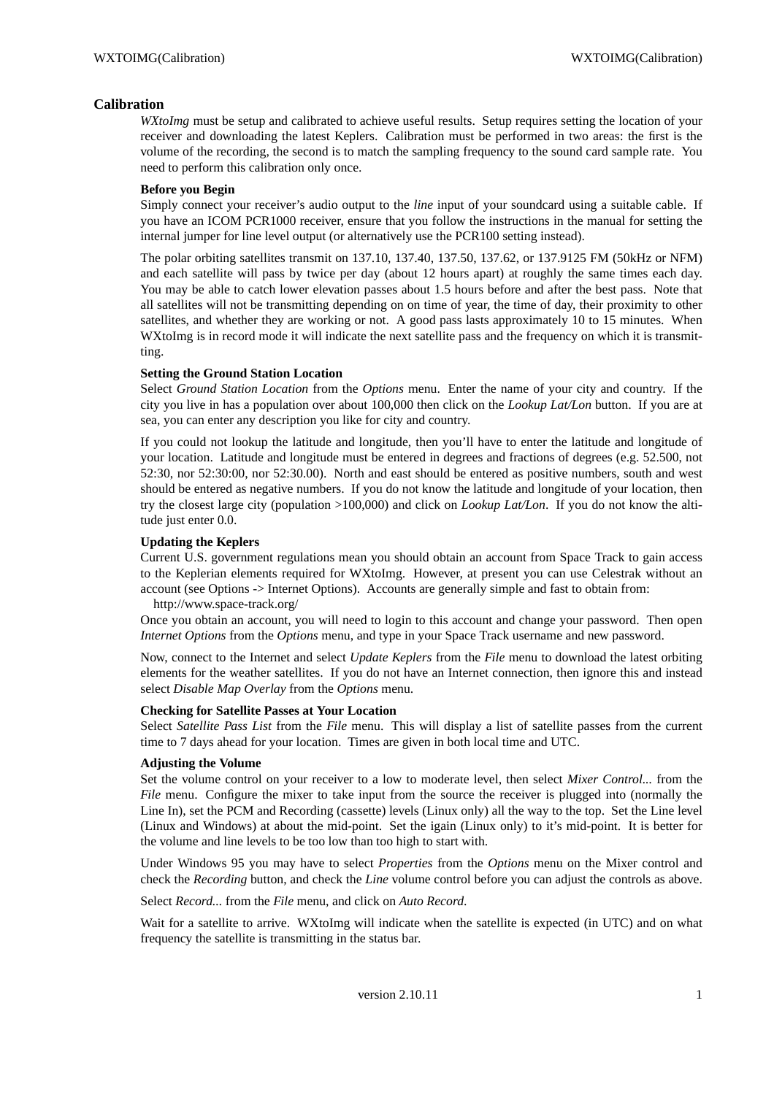# **Calibration**

*WXtoImg* must be setup and calibrated to achieve useful results. Setup requires setting the location of your receiver and downloading the latest Keplers. Calibration must be performed in two areas: the first is the volume of the recording, the second is to match the sampling frequency to the sound card sample rate. You need to perform this calibration only once.

### **Before you Begin**

Simply connect your receiver's audio output to the *line* input of your soundcard using a suitable cable. If you have an ICOM PCR1000 receiver, ensure that you follow the instructions in the manual for setting the internal jumper for line level output (or alternatively use the PCR100 setting instead).

The polar orbiting satellites transmit on 137.10, 137.40, 137.50, 137.62, or 137.9125 FM (50kHz or NFM) and each satellite will pass by twice per day (about 12 hours apart) at roughly the same times each day. You may be able to catch lower elevation passes about 1.5 hours before and after the best pass. Note that all satellites will not be transmitting depending on on time of year, the time of day, their proximity to other satellites, and whether they are working or not. A good pass lasts approximately 10 to 15 minutes. When WXtoImg is in record mode it will indicate the next satellite pass and the frequency on which it is transmitting.

### **Setting the Ground Station Location**

Select *Ground Station Location* from the *Options* menu. Enter the name of your city and country. If the city you live in has a population over about 100,000 then click on the *Lookup Lat/Lon* button. If you are at sea, you can enter any description you like for city and country.

If you could not lookup the latitude and longitude, then you'll have to enter the latitude and longitude of your location. Latitude and longitude must be entered in degrees and fractions of degrees (e.g. 52.500, not 52:30, nor 52:30:00, nor 52:30.00). North and east should be entered as positive numbers, south and west should be entered as negative numbers. If you do not know the latitude and longitude of your location, then try the closest large city (population >100,000) and click on *Lookup Lat/Lon*. If you do not know the altitude just enter 0.0.

### **Updating the Keplers**

Current U.S. government regulations mean you should obtain an account from Space Track to gain access to the Keplerian elements required for WXtoImg. However, at present you can use Celestrak without an account (see Options -> Internet Options). Accounts are generally simple and fast to obtain from:

http://www.space-track.org/

Once you obtain an account, you will need to login to this account and change your password. Then open *Internet Options* from the *Options* menu, and type in your Space Track username and new password.

Now, connect to the Internet and select *Update Keplers* from the *File* menu to download the latest orbiting elements for the weather satellites. If you do not have an Internet connection, then ignore this and instead select *Disable Map Overlay* from the *Options* menu.

### **Checking for Satellite Passes at Your Location**

Select *Satellite Pass List* from the *File* menu. This will display a list of satellite passes from the current time to 7 days ahead for your location. Times are given in both local time and UTC.

### **Adjusting the Volume**

Set the volume control on your receiver to a low to moderate level, then select *Mixer Control...* from the *File* menu. Configure the mixer to take input from the source the receiver is plugged into (normally the Line In), set the PCM and Recording (cassette) levels (Linux only) all the way to the top. Set the Line level (Linux and Windows) at about the mid-point. Set the igain (Linux only) to it's mid-point. It is better for the volume and line levels to be too low than too high to start with.

Under Windows 95 you may have to select *Properties* from the *Options* menu on the Mixer control and check the *Recording* button, and check the *Line* volume control before you can adjust the controls as above.

Select *Record...* from the *File* menu, and click on *Auto Record*.

Wait for a satellite to arrive. WXtoImg will indicate when the satellite is expected (in UTC) and on what frequency the satellite is transmitting in the status bar.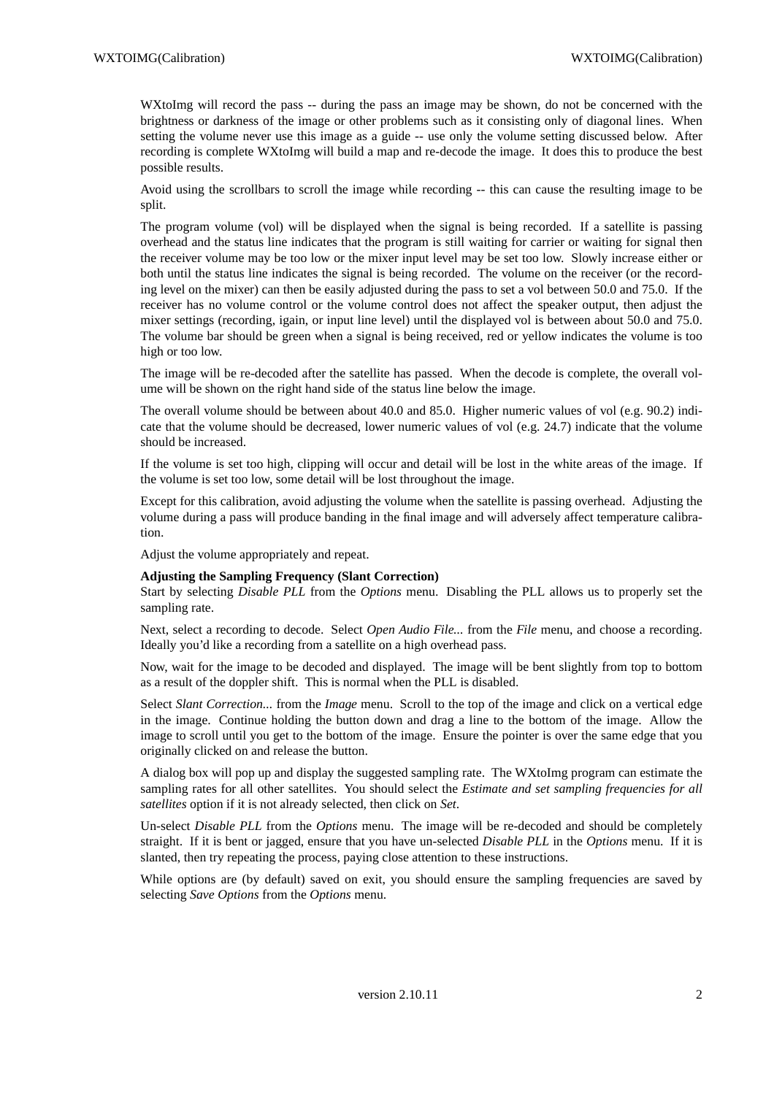WXtoImg will record the pass -- during the pass an image may be shown, do not be concerned with the brightness or darkness of the image or other problems such as it consisting only of diagonal lines. When setting the volume never use this image as a guide -- use only the volume setting discussed below. After recording is complete WXtoImg will build a map and re-decode the image. It does this to produce the best possible results.

Avoid using the scrollbars to scroll the image while recording -- this can cause the resulting image to be split.

The program volume (vol) will be displayed when the signal is being recorded. If a satellite is passing overhead and the status line indicates that the program is still waiting for carrier or waiting for signal then the receiver volume may be too low or the mixer input level may be set too low. Slowly increase either or both until the status line indicates the signal is being recorded. The volume on the receiver (or the recording level on the mixer) can then be easily adjusted during the pass to set a vol between 50.0 and 75.0. If the receiver has no volume control or the volume control does not affect the speaker output, then adjust the mixer settings (recording, igain, or input line level) until the displayed vol is between about 50.0 and 75.0. The volume bar should be green when a signal is being received, red or yellow indicates the volume is too high or too low.

The image will be re-decoded after the satellite has passed. When the decode is complete, the overall volume will be shown on the right hand side of the status line below the image.

The overall volume should be between about 40.0 and 85.0. Higher numeric values of vol (e.g. 90.2) indicate that the volume should be decreased, lower numeric values of vol (e.g. 24.7) indicate that the volume should be increased.

If the volume is set too high, clipping will occur and detail will be lost in the white areas of the image. If the volume is set too low, some detail will be lost throughout the image.

Except for this calibration, avoid adjusting the volume when the satellite is passing overhead. Adjusting the volume during a pass will produce banding in the final image and will adversely affect temperature calibration.

Adjust the volume appropriately and repeat.

#### **Adjusting the Sampling Frequency (Slant Correction)**

Start by selecting *Disable PLL* from the *Options* menu. Disabling the PLL allows us to properly set the sampling rate.

Next, select a recording to decode. Select *Open Audio File...* from the *File* menu, and choose a recording. Ideally you'd like a recording from a satellite on a high overhead pass.

Now, wait for the image to be decoded and displayed. The image will be bent slightly from top to bottom as a result of the doppler shift. This is normal when the PLL is disabled.

Select *Slant Correction...* from the *Image* menu. Scroll to the top of the image and click on a vertical edge in the image. Continue holding the button down and drag a line to the bottom of the image. Allow the image to scroll until you get to the bottom of the image. Ensure the pointer is over the same edge that you originally clicked on and release the button.

A dialog box will pop up and display the suggested sampling rate. The WXtoImg program can estimate the sampling rates for all other satellites. You should select the *Estimate and set sampling frequencies for all satellites* option if it is not already selected, then click on *Set*.

Un-select *Disable PLL* from the *Options* menu. The image will be re-decoded and should be completely straight. If it is bent or jagged, ensure that you have un-selected *Disable PLL* in the *Options* menu. If it is slanted, then try repeating the process, paying close attention to these instructions.

While options are (by default) saved on exit, you should ensure the sampling frequencies are saved by selecting *Save Options* from the *Options* menu.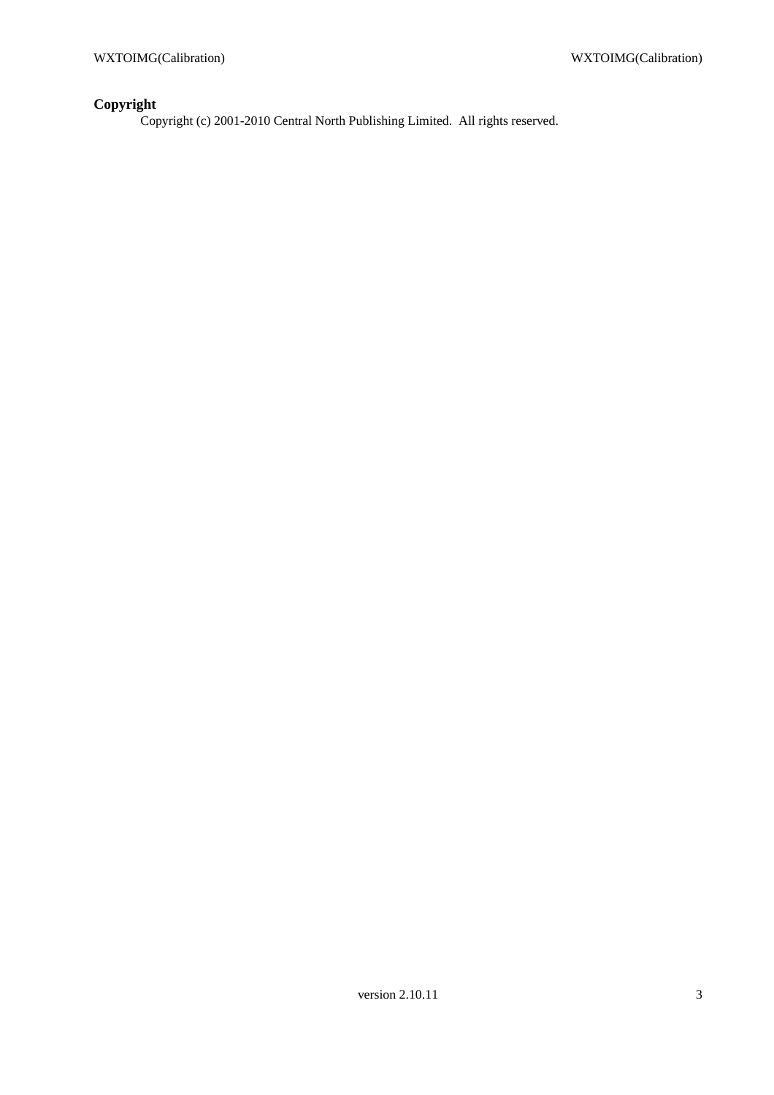# **Copyright**

Copyright (c) 2001-2010 Central North Publishing Limited. All rights reserved.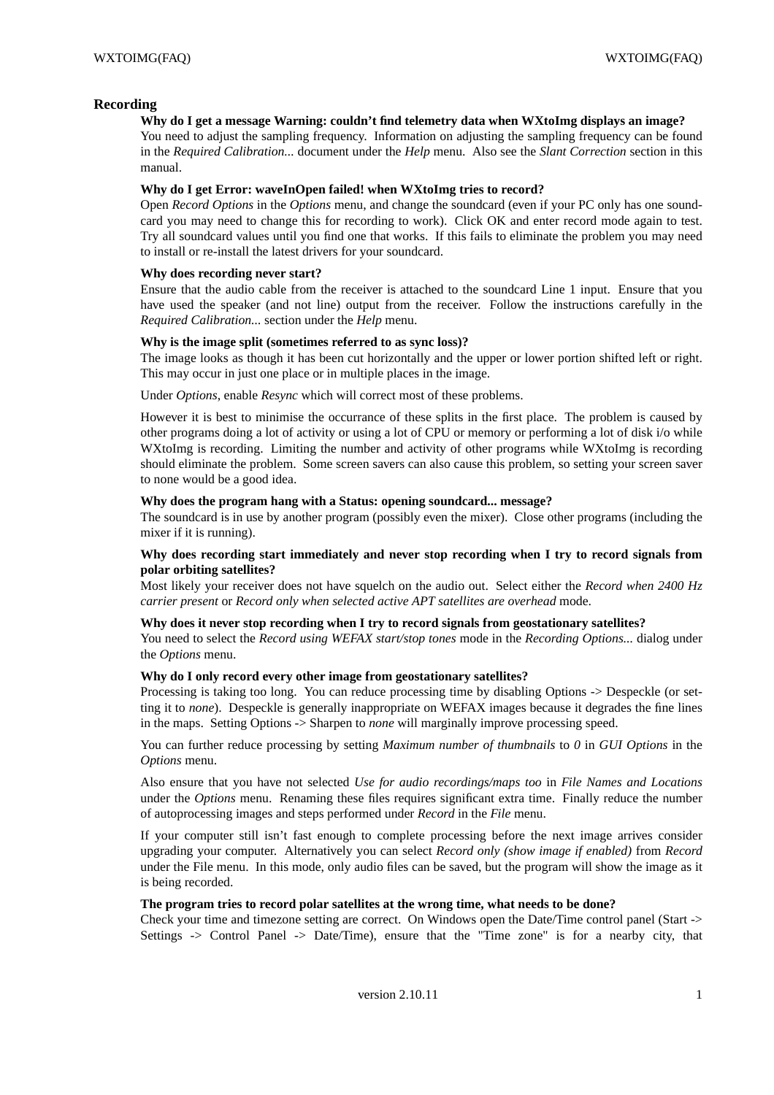### **Recording**

### **Why do I get a message Warning: couldn't find telemetry data when WXtoImg displays an image?**

You need to adjust the sampling frequency. Information on adjusting the sampling frequency can be found in the *Required Calibration...* document under the *Help* menu. Also see the *Slant Correction* section in this manual.

### **Why do I get Error: waveInOpen failed! when WXtoImg tries to record?**

Open *Record Options* in the *Options* menu, and change the soundcard (even if your PC only has one soundcard you may need to change this for recording to work). Click OK and enter record mode again to test. Try all soundcard values until you find one that works. If this fails to eliminate the problem you may need to install or re-install the latest drivers for your soundcard.

### **Why does recording never start?**

Ensure that the audio cable from the receiver is attached to the soundcard Line 1 input. Ensure that you have used the speaker (and not line) output from the receiver. Follow the instructions carefully in the *Required Calibration...* section under the *Help* menu.

### **Why is the image split (sometimes referred to as sync loss)?**

The image looks as though it has been cut horizontally and the upper or lower portion shifted left or right. This may occur in just one place or in multiple places in the image.

Under *Options*, enable *Resync* which will correct most of these problems.

However it is best to minimise the occurrance of these splits in the first place. The problem is caused by other programs doing a lot of activity or using a lot of CPU or memory or performing a lot of disk i/o while WXtoImg is recording. Limiting the number and activity of other programs while WXtoImg is recording should eliminate the problem. Some screen savers can also cause this problem, so setting your screen saver to none would be a good idea.

### **Why does the program hang with a Status: opening soundcard... message?**

The soundcard is in use by another program (possibly even the mixer). Close other programs (including the mixer if it is running).

### **Why does recording start immediately and never stop recording when I try to record signals from polar orbiting satellites?**

Most likely your receiver does not have squelch on the audio out. Select either the *Record when 2400 Hz carrier present* or *Record only when selected active APT satellites are overhead* mode.

### **Why does it never stop recording when I try to record signals from geostationary satellites?**

You need to select the *Record using WEFAX start/stop tones* mode in the *Recording Options...* dialog under the *Options* menu.

### **Why do I only record every other image from geostationary satellites?**

Processing is taking too long. You can reduce processing time by disabling Options -> Despeckle (or setting it to *none*). Despeckle is generally inappropriate on WEFAX images because it degrades the fine lines in the maps. Setting Options -> Sharpen to *none* will marginally improve processing speed.

You can further reduce processing by setting *Maximum number of thumbnails* to *0* in *GUI Options* in the *Options* menu.

Also ensure that you have not selected *Use for audio recordings/maps too* in *File Names and Locations* under the *Options* menu. Renaming these files requires significant extra time. Finally reduce the number of autoprocessing images and steps performed under *Record* in the *File* menu.

If your computer still isn't fast enough to complete processing before the next image arrives consider upgrading your computer. Alternatively you can select *Record only (show image if enabled)* from *Record* under the File menu. In this mode, only audio files can be saved, but the program will show the image as it is being recorded.

#### **The program tries to record polar satellites at the wrong time, what needs to be done?**

Check your time and timezone setting are correct. On Windows open the Date/Time control panel (Start -> Settings -> Control Panel -> Date/Time), ensure that the "Time zone" is for a nearby city, that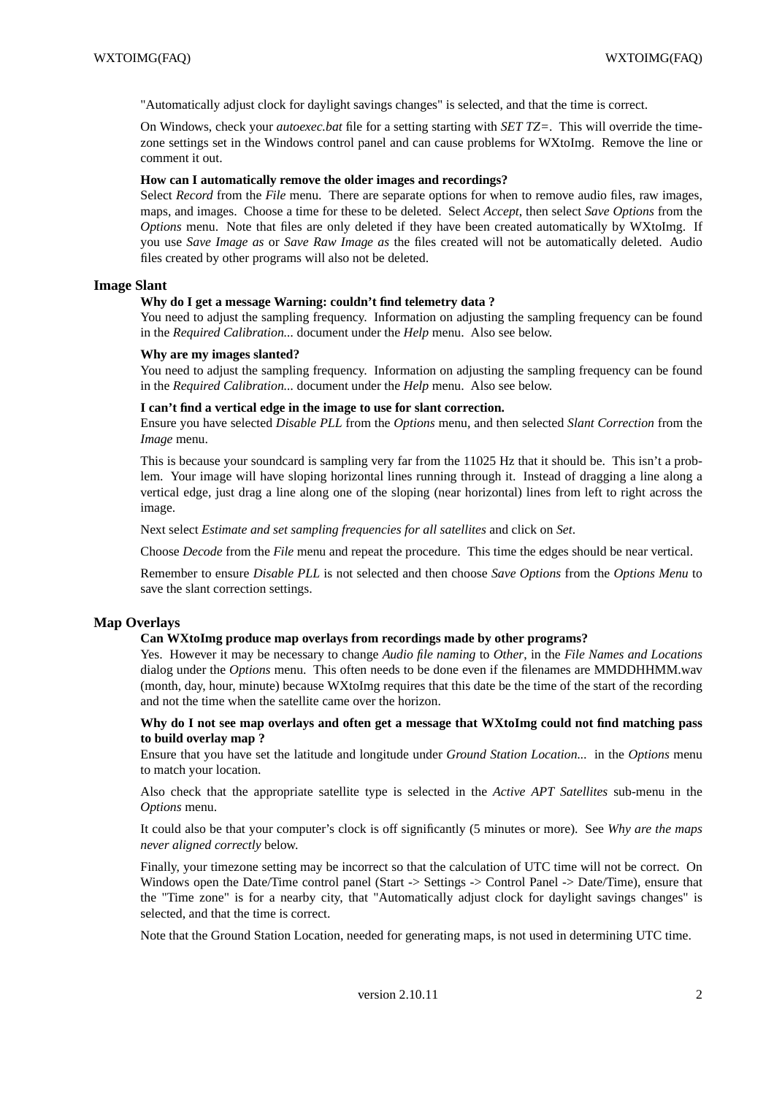"Automatically adjust clock for daylight savings changes" is selected, and that the time is correct.

On Windows, check your *autoexec.bat* file for a setting starting with *SET TZ=*. This will override the timezone settings set in the Windows control panel and can cause problems for WXtoImg. Remove the line or comment it out.

### **How can I automatically remove the older images and recordings?**

Select *Record* from the *File* menu. There are separate options for when to remove audio files, raw images, maps, and images. Choose a time for these to be deleted. Select *Accept*, then select *Save Options* from the *Options* menu. Note that files are only deleted if they have been created automatically by WXtoImg. If you use *Save Image as* or *Save Raw Image as* the files created will not be automatically deleted. Audio files created by other programs will also not be deleted.

### **Image Slant**

### **Why do I get a message Warning: couldn't find telemetry data ?**

You need to adjust the sampling frequency. Information on adjusting the sampling frequency can be found in the *Required Calibration...* document under the *Help* menu. Also see below.

#### **Why are my images slanted?**

You need to adjust the sampling frequency. Information on adjusting the sampling frequency can be found in the *Required Calibration...* document under the *Help* menu. Also see below.

#### **I can't find a vertical edge in the image to use for slant correction.**

Ensure you have selected *Disable PLL* from the *Options* menu, and then selected *Slant Correction* from the *Image* menu.

This is because your soundcard is sampling very far from the 11025 Hz that it should be. This isn't a problem. Your image will have sloping horizontal lines running through it. Instead of dragging a line along a vertical edge, just drag a line along one of the sloping (near horizontal) lines from left to right across the image.

Next select *Estimate and set sampling frequencies for all satellites* and click on *Set*.

Choose *Decode* from the *File* menu and repeat the procedure. This time the edges should be near vertical.

Remember to ensure *Disable PLL* is not selected and then choose *Save Options* from the *Options Menu* to save the slant correction settings.

### **Map Overlays**

### **Can WXtoImg produce map overlays from recordings made by other programs?**

Yes. However it may be necessary to change *Audio file naming* to *Other*, in the *File Names and Locations* dialog under the *Options* menu. This often needs to be done even if the filenames are MMDDHHMM.wav (month, day, hour, minute) because WXtoImg requires that this date be the time of the start of the recording and not the time when the satellite came over the horizon.

**Why do I not see map overlays and often get a message that WXtoImg could not find matching pass to build overlay map ?**

Ensure that you have set the latitude and longitude under *Ground Station Location...* in the *Options* menu to match your location.

Also check that the appropriate satellite type is selected in the *Active APT Satellites* sub-menu in the *Options* menu.

It could also be that your computer's clock is off significantly (5 minutes or more). See *Why are the maps never aligned correctly* below.

Finally, your timezone setting may be incorrect so that the calculation of UTC time will not be correct. On Windows open the Date/Time control panel (Start -> Settings -> Control Panel -> Date/Time), ensure that the "Time zone" is for a nearby city, that "Automatically adjust clock for daylight savings changes" is selected, and that the time is correct.

Note that the Ground Station Location, needed for generating maps, is not used in determining UTC time.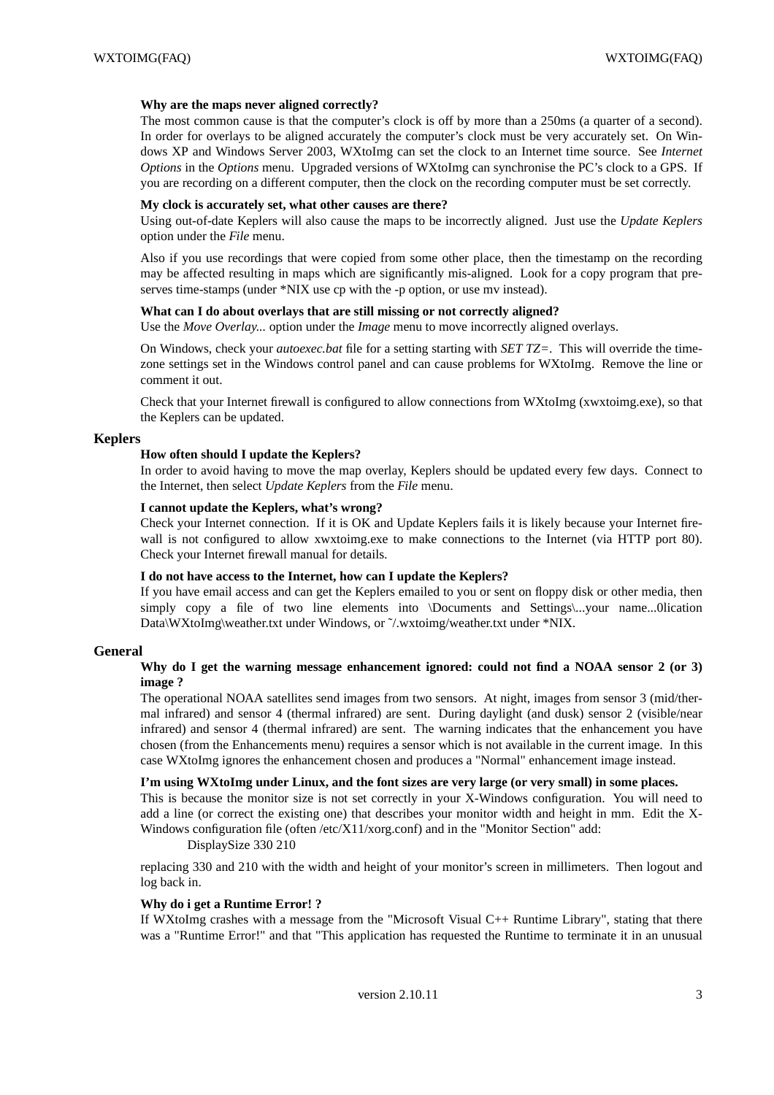### **Why are the maps never aligned correctly?**

The most common cause is that the computer's clock is off by more than a 250ms (a quarter of a second). In order for overlays to be aligned accurately the computer's clock must be very accurately set. On Windows XP and Windows Server 2003, WXtoImg can set the clock to an Internet time source. See *Internet Options* in the *Options* menu. Upgraded versions of WXtoImg can synchronise the PC's clock to a GPS. If you are recording on a different computer, then the clock on the recording computer must be set correctly.

### **My clock is accurately set, what other causes are there?**

Using out-of-date Keplers will also cause the maps to be incorrectly aligned. Just use the *Update Keplers* option under the *File* menu.

Also if you use recordings that were copied from some other place, then the timestamp on the recording may be affected resulting in maps which are significantly mis-aligned. Look for a copy program that preserves time-stamps (under \*NIX use cp with the -p option, or use mv instead).

### **What can I do about overlays that are still missing or not correctly aligned?**

Use the *Move Overlay...* option under the *Image* menu to move incorrectly aligned overlays.

On Windows, check your *autoexec.bat* file for a setting starting with *SET TZ=*. This will override the timezone settings set in the Windows control panel and can cause problems for WXtoImg. Remove the line or comment it out.

Check that your Internet firewall is configured to allow connections from WXtoImg (xwxtoimg.exe), so that the Keplers can be updated.

### **Keplers**

#### **How often should I update the Keplers?**

In order to avoid having to move the map overlay, Keplers should be updated every few days. Connect to the Internet, then select *Update Keplers* from the *File* menu.

### **I cannot update the Keplers, what's wrong?**

Check your Internet connection. If it is OK and Update Keplers fails it is likely because your Internet firewall is not configured to allow xwxtoimg.exe to make connections to the Internet (via HTTP port 80). Check your Internet firewall manual for details.

### **I do not have access to the Internet, how can I update the Keplers?**

If you have email access and can get the Keplers emailed to you or sent on floppy disk or other media, then simply copy a file of two line elements into \Documents and Settings\...your name...0lication Data\WXtoImg\weather.txt under Windows, or  $\gamma$ /wxtoimg/weather.txt under \*NIX.

#### **General**

### **Why do I get the warning message enhancement ignored: could not find a NOAA sensor 2 (or 3) image ?**

The operational NOAA satellites send images from two sensors. At night, images from sensor 3 (mid/thermal infrared) and sensor 4 (thermal infrared) are sent. During daylight (and dusk) sensor 2 (visible/near infrared) and sensor 4 (thermal infrared) are sent. The warning indicates that the enhancement you have chosen (from the Enhancements menu) requires a sensor which is not available in the current image. In this case WXtoImg ignores the enhancement chosen and produces a "Normal" enhancement image instead.

#### **I'm using WXtoImg under Linux, and the font sizes are very large (or very small) in some places.**

This is because the monitor size is not set correctly in your X-Windows configuration. You will need to add a line (or correct the existing one) that describes your monitor width and height in mm. Edit the X-Windows configuration file (often /etc/X11/xorg.conf) and in the "Monitor Section" add:

DisplaySize 330 210

replacing 330 and 210 with the width and height of your monitor's screen in millimeters. Then logout and log back in.

#### **Why do i get a Runtime Error! ?**

If WXtoImg crashes with a message from the "Microsoft Visual C++ Runtime Library", stating that there wasa"Runtime Error!" and that "This application has requested the Runtime to terminate it in an unusual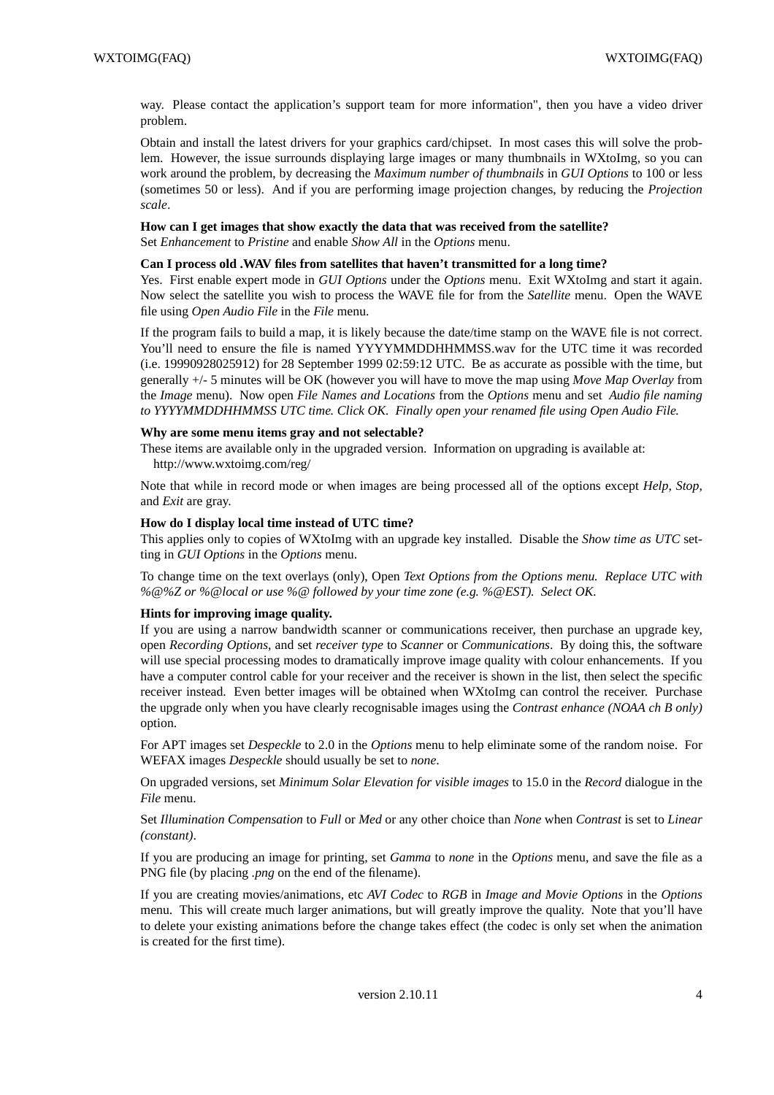way. Please contact the application's support team for more information", then you have a video driver problem.

Obtain and install the latest drivers for your graphics card/chipset. In most cases this will solve the problem. However, the issue surrounds displaying large images or many thumbnails in WXtoImg, so you can work around the problem, by decreasing the *Maximum number of thumbnails* in *GUI Options* to 100 or less (sometimes 50 or less). And if you are performing image projection changes, by reducing the *Projection scale*.

# **How can I get images that show exactly the data that was received from the satellite?**

Set *Enhancement* to *Pristine* and enable *Show All* in the *Options* menu.

# **Can I process old .WAV files from satellites that haven't transmitted for a long time?**

Yes. First enable expert mode in *GUI Options* under the *Options* menu. Exit WXtoImg and start it again. Now select the satellite you wish to process the WAVE file for from the *Satellite* menu. Open the WAVE file using *Open Audio File* in the *File* menu.

If the program fails to build a map, it is likely because the date/time stamp on the WAVE file is not correct. You'll need to ensure the file is named YYYYMMDDHHMMSS.wav for the UTC time it was recorded (i.e. 19990928025912) for 28 September 1999 02:59:12 UTC. Be as accurate as possible with the time, but generally +/- 5 minutes will be OK (however you will have to move the map using *Move Map Overlay* from the *Image* menu). Now open *File Names and Locations* from the *Options* menu and set *Audio file naming to YYYYMMDDHHMMSS UTC time. Click OK. Finally open your renamed file using Open Audio File.*

### **Why are some menu items gray and not selectable?**

These items are available only in the upgraded version. Information on upgrading is available at:

http://www.wxtoimg.com/reg/

Note that while in record mode or when images are being processed all of the options except *Help*, *Stop*, and *Exit* are gray.

### **How do I display local time instead of UTC time?**

This applies only to copies of WXtoImg with an upgrade key installed. Disable the *Show time as UTC* setting in *GUI Options* in the *Options* menu.

To change time on the text overlays (only), Open *Text Options from the Options menu. Replace UTC with %@%Z or %@local or use %@ followed by your time zone (e.g. %@EST). Select OK.*

### **Hints for improving image quality.**

If you are using a narrow bandwidth scanner or communications receiver, then purchase an upgrade key, open *Recording Options*, and set *receiver type* to *Scanner* or *Communications*. By doing this, the software will use special processing modes to dramatically improve image quality with colour enhancements. If you have a computer control cable for your receiver and the receiver is shown in the list, then select the specific receiver instead. Even better images will be obtained when WXtoImg can control the receiver. Purchase the upgrade only when you have clearly recognisable images using the *Contrast enhance (NOAA chBonly)* option.

For APT images set *Despeckle* to 2.0 in the *Options* menu to help eliminate some of the random noise. For WEFAX images *Despeckle* should usually be set to *none*.

On upgraded versions, set *Minimum Solar Elevation for visible images* to 15.0 in the *Record* dialogue in the *File* menu.

Set *Illumination Compensation* to *Full* or *Med* or any other choice than *None* when *Contrast* is set to *Linear (constant)*.

If you are producing an image for printing, set *Gamma* to *none* in the *Options* menu, and save the file as a PNG file (by placing *.png* on the end of the filename).

If you are creating movies/animations, etc *AVI Codec* to *RGB* in *Image and Movie Options* in the *Options* menu. This will create much larger animations, but will greatly improve the quality. Note that you'll have to delete your existing animations before the change takes effect (the codec is only set when the animation is created for the first time).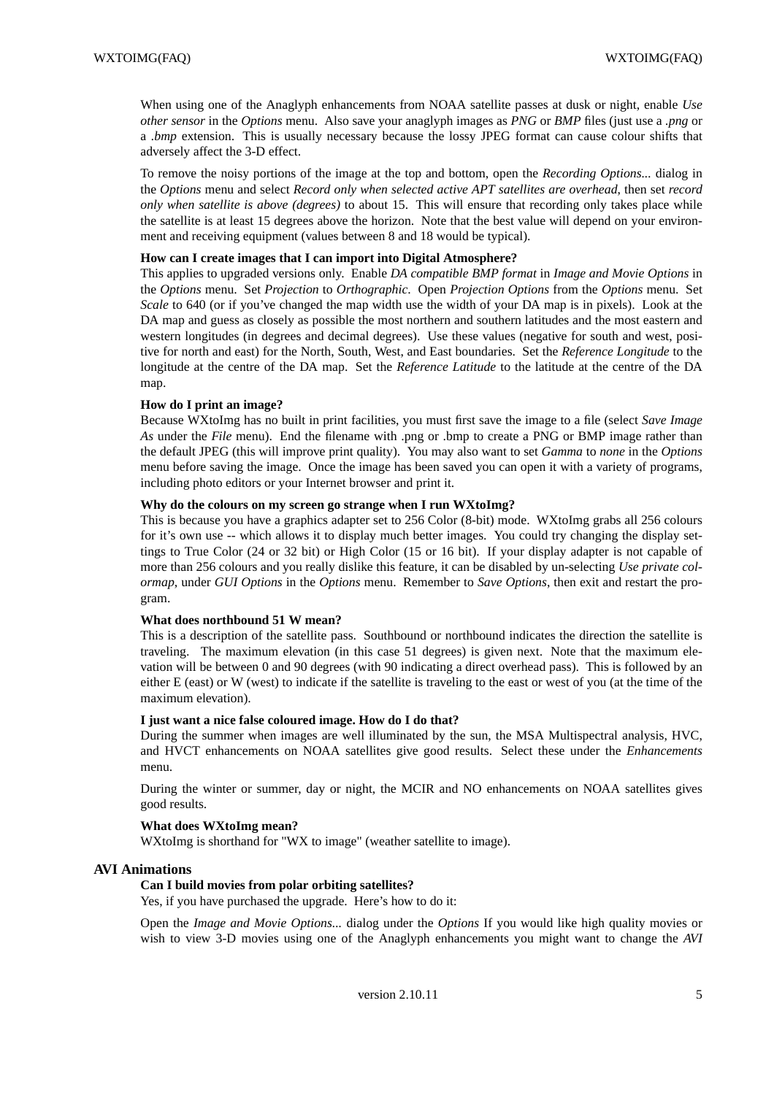When using one of the Anaglyph enhancements from NOAA satellite passes at dusk or night, enable *Use other sensor* in the *Options* menu. Also save your anaglyph images as *PNG* or *BMP* files (just use a *.png* or a *.bmp* extension. This is usually necessary because the lossy JPEG format can cause colour shifts that adversely affect the 3-D effect.

To remove the noisy portions of the image at the top and bottom, open the *Recording Options...* dialog in the *Options* menu and select *Record only when selected active APT satellites are overhead*, then set *record only when satellite is above (degrees)* to about 15. This will ensure that recording only takes place while the satellite is at least 15 degrees above the horizon. Note that the best value will depend on your environment and receiving equipment (values between 8 and 18 would be typical).

### **How can I create images that I can import into Digital Atmosphere?**

This applies to upgraded versions only. Enable *DA compatible BMP format* in *Image and Movie Options* in the *Options* menu. Set *Projection* to *Orthographic*. Open *Projection Options* from the *Options* menu. Set *Scale* to 640 (or if you've changed the map width use the width of your DA map is in pixels). Look at the DA map and guess as closely as possible the most northern and southern latitudes and the most eastern and western longitudes (in degrees and decimal degrees). Use these values (negative for south and west, positive for north and east) for the North, South, West, and East boundaries. Set the *Reference Longitude* to the longitude at the centre of the DA map. Set the *Reference Latitude* to the latitude at the centre of the DA map.

### **How do I print an image?**

Because WXtoImg has no built in print facilities, you must first save the image to a file (select *Save Image As* under the *File* menu). End the filename with .png or .bmp to create a PNG or BMP image rather than the default JPEG (this will improve print quality). You may also want to set *Gamma* to *none* in the *Options* menu before saving the image. Once the image has been saved you can open it with a variety of programs, including photo editors or your Internet browser and print it.

### **Why do the colours on my screen go strange when I run WXtoImg?**

This is because you have a graphics adapter set to 256 Color (8-bit) mode. WXtoImg grabs all 256 colours for it's own use -- which allows it to display much better images. You could try changing the display settings to True Color (24 or 32 bit) or High Color (15 or 16 bit). If your display adapter is not capable of more than 256 colours and you really dislike this feature, it can be disabled by un-selecting *Use private colormap*, under *GUI Options* in the *Options* menu. Remember to *Save Options*, then exit and restart the program.

### **What does northbound 51 W mean?**

This is a description of the satellite pass. Southbound or northbound indicates the direction the satellite is traveling. The maximum elevation (in this case 51 degrees) is given next. Note that the maximum elevation will be between 0 and 90 degrees (with 90 indicating a direct overhead pass). This is followed by an either E (east) or W (west) to indicate if the satellite is traveling to the east or west of you (at the time of the maximum elevation).

### **I just want a nice false coloured image. How do I do that?**

During the summer when images are well illuminated by the sun, the MSA Multispectral analysis, HVC, and HVCT enhancements on NOAA satellites give good results. Select these under the *Enhancements* menu.

During the winter or summer, day or night, the MCIR and NO enhancements on NOAA satellites gives good results.

### **What does WXtoImg mean?**

WXtoImg is shorthand for "WX to image" (weather satellite to image).

### **AVI Animations**

### **Can I build movies from polar orbiting satellites?**

Yes, if you have purchased the upgrade. Here's how to do it:

Open the *Image and Movie Options...* dialog under the *Options* If you would like high quality movies or wish to view 3-D movies using one of the Anaglyph enhancements you might want to change the *AVI*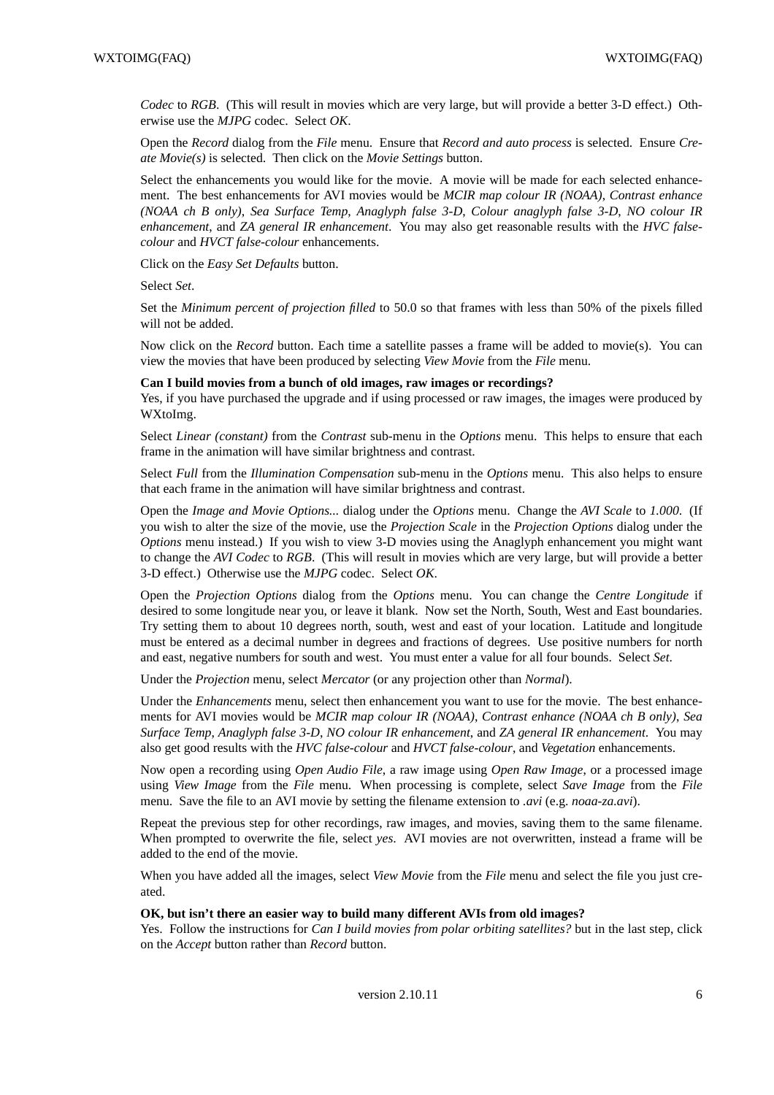*Codec* to *RGB*. (This will result in movies which are very large, but will provide a better 3-D effect.) Otherwise use the *MJPG* codec. Select *OK*.

Open the *Record* dialog from the *File* menu. Ensure that *Record and auto process* is selected. Ensure *Create Movie(s)* is selected. Then click on the *Movie Settings* button.

Select the enhancements you would like for the movie. A movie will be made for each selected enhancement. The best enhancements for AVI movies would be *MCIR map colour IR (NOAA)*, *Contrast enhance (NOAA chBonly)*, *Sea Surface Temp*, *Anaglyph false 3-D*, *Colour anaglyph false 3-D*, *NO colour IR enhancement*, and *ZA general IR enhancement*. You may also get reasonable results with the *HVC falsecolour* and *HVCT false-colour* enhancements.

Click on the *Easy Set Defaults* button.

Select *Set*.

Set the *Minimum percent of projection filled* to 50.0 so that frames with less than 50% of the pixels filled will not be added.

Now click on the *Record* button. Each time a satellite passes a frame will be added to movie(s). You can view the movies that have been produced by selecting *View Movie* from the *File* menu.

#### **Can I build movies from a bunch of old images, raw images or recordings?**

Yes, if you have purchased the upgrade and if using processed or raw images, the images were produced by WXtoImg.

Select *Linear (constant)* from the *Contrast* sub-menu in the *Options* menu. This helps to ensure that each frame in the animation will have similar brightness and contrast.

Select *Full* from the *Illumination Compensation* sub-menu in the *Options* menu. This also helps to ensure that each frame in the animation will have similar brightness and contrast.

Open the *Image and Movie Options...* dialog under the *Options* menu. Change the *AVI Scale* to *1.000*. (If you wish to alter the size of the movie, use the *Projection Scale* in the *Projection Options* dialog under the *Options* menu instead.) If you wish to view 3-D movies using the Anaglyph enhancement you might want to change the *AVI Codec* to *RGB*. (This will result in movies which are very large, but will provide a better 3-D effect.) Otherwise use the *MJPG* codec. Select *OK*.

Open the *Projection Options* dialog from the *Options* menu. You can change the *Centre Longitude* if desired to some longitude near you, or leave it blank. Now set the North, South, West and East boundaries. Try setting them to about 10 degrees north, south, west and east of your location. Latitude and longitude must be entered as a decimal number in degrees and fractions of degrees. Use positive numbers for north and east, negative numbers for south and west. You must enter a value for all four bounds. Select *Set*.

Under the *Projection* menu, select *Mercator* (or any projection other than *Normal*).

Under the *Enhancements* menu, select then enhancement you want to use for the movie. The best enhancements for AVI movies would be *MCIR map colour IR (NOAA)*, *Contrast enhance (NOAA chBonly)*, *Sea Surface Temp*, *Anaglyph false 3-D*, *NO colour IR enhancement*, and *ZA general IR enhancement*. You may also get good results with the *HVC false-colour* and *HVCT false-colour*, and *Vegetation* enhancements.

Now open a recording using *Open Audio File*, a raw image using *Open Raw Image*, or a processed image using *View Image* from the *File* menu. When processing is complete, select *Save Image* from the *File* menu. Save the file to an AVI movie by setting the filename extension to *.avi* (e.g. *noaa-za.avi*).

Repeat the previous step for other recordings, raw images, and movies, saving them to the same filename. When prompted to overwrite the file, select *yes*. AVI movies are not overwritten, instead a frame will be added to the end of the movie.

When you have added all the images, select *View Movie* from the *File* menu and select the file you just created.

#### **OK, but isn't there an easier way to build many different AVIs from old images?**

Yes. Follow the instructions for *Can I build movies from polar orbiting satellites?* but in the last step, click on the *Accept* button rather than *Record* button.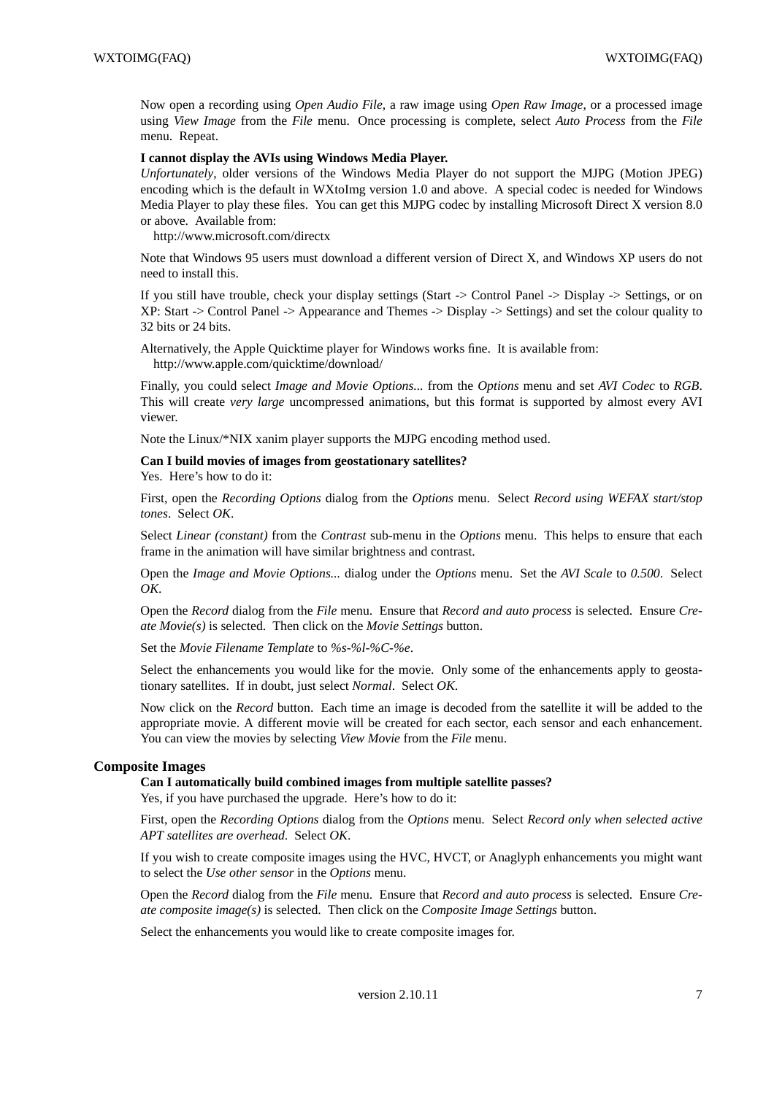Now open a recording using *Open Audio File*, a raw image using *Open Raw Image*, or a processed image using *View Image* from the *File* menu. Once processing is complete, select *Auto Process* from the *File* menu. Repeat.

### **I cannot display the AVIs using Windows Media Player.**

*Unfortunately*, older versions of the Windows Media Player do not support the MJPG (Motion JPEG) encoding which is the default in WXtoImg version 1.0 and above. A special codec is needed for Windows Media Player to play these files. You can get this MJPG codec by installing Microsoft Direct X version 8.0 or above. Available from:

http://www.microsoft.com/directx

Note that Windows 95 users must download a different version of Direct X, and Windows XP users do not need to install this.

If you still have trouble, check your display settings (Start -> Control Panel -> Display -> Settings, or on XP: Start -> Control Panel -> Appearance and Themes -> Display -> Settings) and set the colour quality to 32 bits or 24 bits.

Alternatively, the Apple Quicktime player for Windows works fine. It is available from: http://www.apple.com/quicktime/download/

Finally, you could select *Image and Movie Options...* from the *Options* menu and set *AVI Codec* to *RGB*. This will create *very large* uncompressed animations, but this format is supported by almost every AVI viewer.

Note the Linux/\*NIX xanim player supports the MJPG encoding method used.

### **Can I build movies of images from geostationary satellites?**

Yes. Here's how to do it:

First, open the *Recording Options* dialog from the *Options* menu. Select *Record using WEFAX start/stop tones*. Select *OK*.

Select *Linear (constant)* from the *Contrast* sub-menu in the *Options* menu. This helps to ensure that each frame in the animation will have similar brightness and contrast.

Open the *Image and Movie Options...* dialog under the *Options* menu. Set the *AVI Scale* to *0.500*. Select *OK*.

Open the *Record* dialog from the *File* menu. Ensure that *Record and auto process* is selected. Ensure *Create Movie(s)* is selected. Then click on the *Movie Settings* button.

Set the *Movie Filename Template* to *%s-%l-%C-%e*.

Select the enhancements you would like for the movie. Only some of the enhancements apply to geostationary satellites. If in doubt, just select *Normal*. Select *OK*.

Now click on the *Record* button. Each time an image is decoded from the satellite it will be added to the appropriate movie. A different movie will be created for each sector, each sensor and each enhancement. You can view the movies by selecting *View Movie* from the *File* menu.

### **Composite Images**

**Can I automatically build combined images from multiple satellite passes?**

Yes, if you have purchased the upgrade. Here's how to do it:

First, open the *Recording Options* dialog from the *Options* menu. Select *Record only when selected active APT satellites are overhead*. Select *OK*.

If you wish to create composite images using the HVC, HVCT, or Anaglyph enhancements you might want to select the *Use other sensor* in the *Options* menu.

Open the *Record* dialog from the *File* menu. Ensure that *Record and auto process* is selected. Ensure *Create composite image(s)* is selected. Then click on the *Composite Image Settings* button.

Select the enhancements you would like to create composite images for.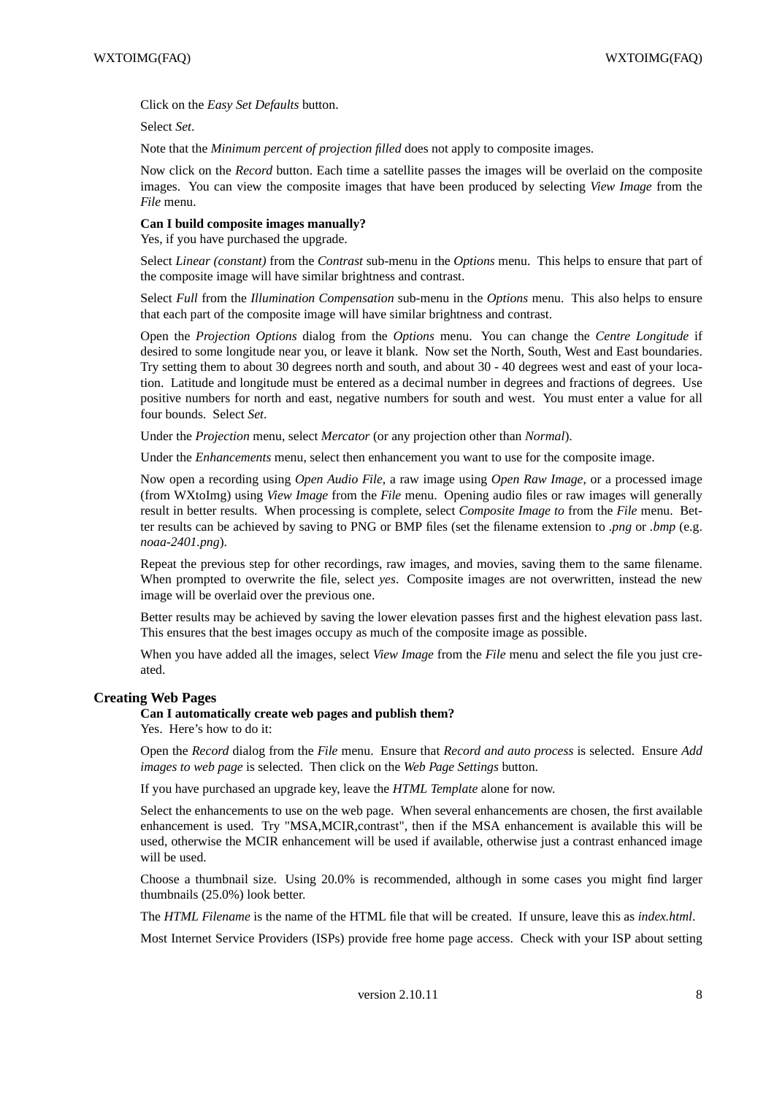Click on the *Easy Set Defaults* button.

Select *Set*.

Note that the *Minimum percent of projection filled* does not apply to composite images.

Now click on the *Record* button. Each time a satellite passes the images will be overlaid on the composite images. You can view the composite images that have been produced by selecting *View Image* from the *File* menu.

### **Can I build composite images manually?**

Yes, if you have purchased the upgrade.

Select *Linear (constant)* from the *Contrast* sub-menu in the *Options* menu. This helps to ensure that part of the composite image will have similar brightness and contrast.

Select *Full* from the *Illumination Compensation* sub-menu in the *Options* menu. This also helps to ensure that each part of the composite image will have similar brightness and contrast.

Open the *Projection Options* dialog from the *Options* menu. You can change the *Centre Longitude* if desired to some longitude near you, or leave it blank. Now set the North, South, West and East boundaries. Try setting them to about 30 degrees north and south, and about 30 - 40 degrees west and east of your location. Latitude and longitude must be entered as a decimal number in degrees and fractions of degrees. Use positive numbers for north and east, negative numbers for south and west. You must enter a value for all four bounds. Select *Set*.

Under the *Projection* menu, select *Mercator* (or any projection other than *Normal*).

Under the *Enhancements* menu, select then enhancement you want to use for the composite image.

Now open a recording using *Open Audio File*, a raw image using *Open Raw Image*, or a processed image (from WXtoImg) using *View Image* from the *File* menu. Opening audio files or raw images will generally result in better results. When processing is complete, select *Composite Image to* from the *File* menu. Better results can be achieved by saving to PNG or BMP files (set the filename extension to *.png* or *.bmp* (e.g. *noaa-2401.png*).

Repeat the previous step for other recordings, raw images, and movies, saving them to the same filename. When prompted to overwrite the file, select *yes*. Composite images are not overwritten, instead the new image will be overlaid over the previous one.

Better results may be achieved by saving the lower elevation passes first and the highest elevation pass last. This ensures that the best images occupy as much of the composite image as possible.

When you have added all the images, select *View Image* from the *File* menu and select the file you just created.

### **Creating Web Pages**

#### **Can I automatically create web pages and publish them?**

Yes. Here's how to do it:

Open the *Record* dialog from the *File* menu. Ensure that *Record and auto process* is selected. Ensure *Add images to web page* is selected. Then click on the *Web Page Settings* button.

If you have purchased an upgrade key, leave the *HTML Template* alone for now.

Select the enhancements to use on the web page. When several enhancements are chosen, the first available enhancement is used. Try "MSA,MCIR,contrast", then if the MSA enhancement is available this will be used, otherwise the MCIR enhancement will be used if available, otherwise just a contrast enhanced image will be used.

Choose a thumbnail size. Using 20.0% is recommended, although in some cases you might find larger thumbnails (25.0%) look better.

The *HTML Filename* is the name of the HTML file that will be created. If unsure, leave this as *index.html*.

Most Internet Service Providers (ISPs) provide free home page access. Check with your ISP about setting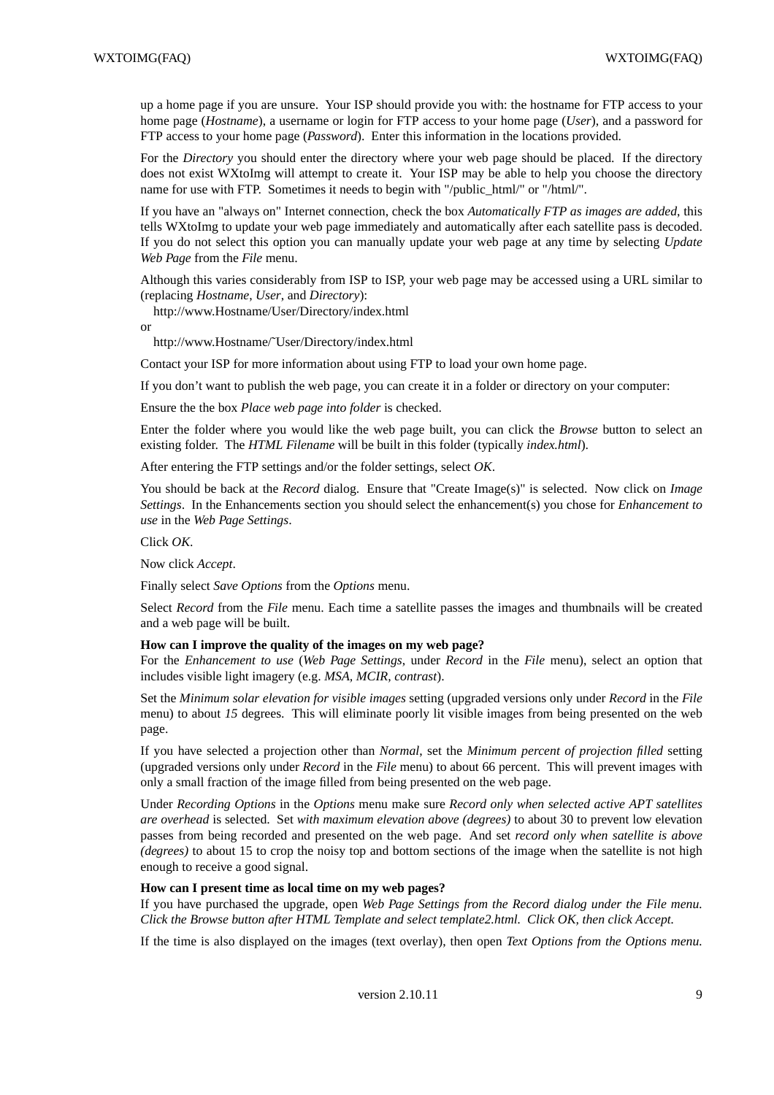up a home page if you are unsure. Your ISP should provide you with: the hostname for FTP access to your home page (*Hostname*), a username or login for FTP access to your home page (*User*), and a password for FTP access to your home page (*Password*). Enter this information in the locations provided.

For the *Directory* you should enter the directory where your web page should be placed. If the directory does not exist WXtoImg will attempt to create it. Your ISP may be able to help you choose the directory name for use with FTP. Sometimes it needs to begin with "/public\_html/" or "/html/".

If you have an "always on" Internet connection, check the box *Automatically FTP as images are added*, this tells WXtoImg to update your web page immediately and automatically after each satellite pass is decoded. If you do not select this option you can manually update your web page at any time by selecting *Update Web Page* from the *File* menu.

Although this varies considerably from ISP to ISP, your web page may be accessed using a URL similar to (replacing *Hostname*, *User*, and *Directory*):

http://www.Hostname/User/Directory/index.html

or

http://www.Hostname/˜User/Directory/index.html

Contact your ISP for more information about using FTP to load your own home page.

If you don't want to publish the web page, you can create it in a folder or directory on your computer:

Ensure the the box *Place web page into folder* is checked.

Enter the folder where you would like the web page built, you can click the *Browse* button to select an existing folder. The *HTML Filename* will be built in this folder (typically *index.html*).

After entering the FTP settings and/or the folder settings, select *OK*.

You should be back at the *Record* dialog. Ensure that "Create Image(s)" is selected. Now click on *Image Settings*. In the Enhancements section you should select the enhancement(s) you chose for *Enhancement to use* in the *Web Page Settings*.

Click *OK*.

Now click *Accept*.

Finally select *Save Options* from the *Options* menu.

Select *Record* from the *File* menu. Each time a satellite passes the images and thumbnails will be created and a web page will be built.

### **How can I improve the quality of the images on my web page?**

For the *Enhancement to use* (*Web Page Settings*, under *Record* in the *File* menu), select an option that includes visible light imagery (e.g. *MSA, MCIR, contrast*).

Set the *Minimum solar elevation for visible images* setting (upgraded versions only under *Record* in the *File* menu) to about *15* degrees. This will eliminate poorly lit visible images from being presented on the web page.

If you have selected a projection other than *Normal*, set the *Minimum percent of projection filled* setting (upgraded versions only under *Record* in the *File* menu) to about 66 percent. This will prevent images with only a small fraction of the image filled from being presented on the web page.

Under *Recording Options* in the *Options* menu make sure *Record only when selected active APT satellites are overhead* is selected. Set *with maximum elevation above (degrees)* to about 30 to prevent low elevation passes from being recorded and presented on the web page. And set *record only when satellite is above (degrees)* to about 15 to crop the noisy top and bottom sections of the image when the satellite is not high enough to receive a good signal.

### **How can I present time as local time on my web pages?**

If you have purchased the upgrade, open *Web Page Settings from the Record dialog under the File menu. Click the Browse button after HTML Template and select template2.html. Click OK, then click Accept.*

If the time is also displayed on the images (text overlay), then open *Text Options from the Options menu.*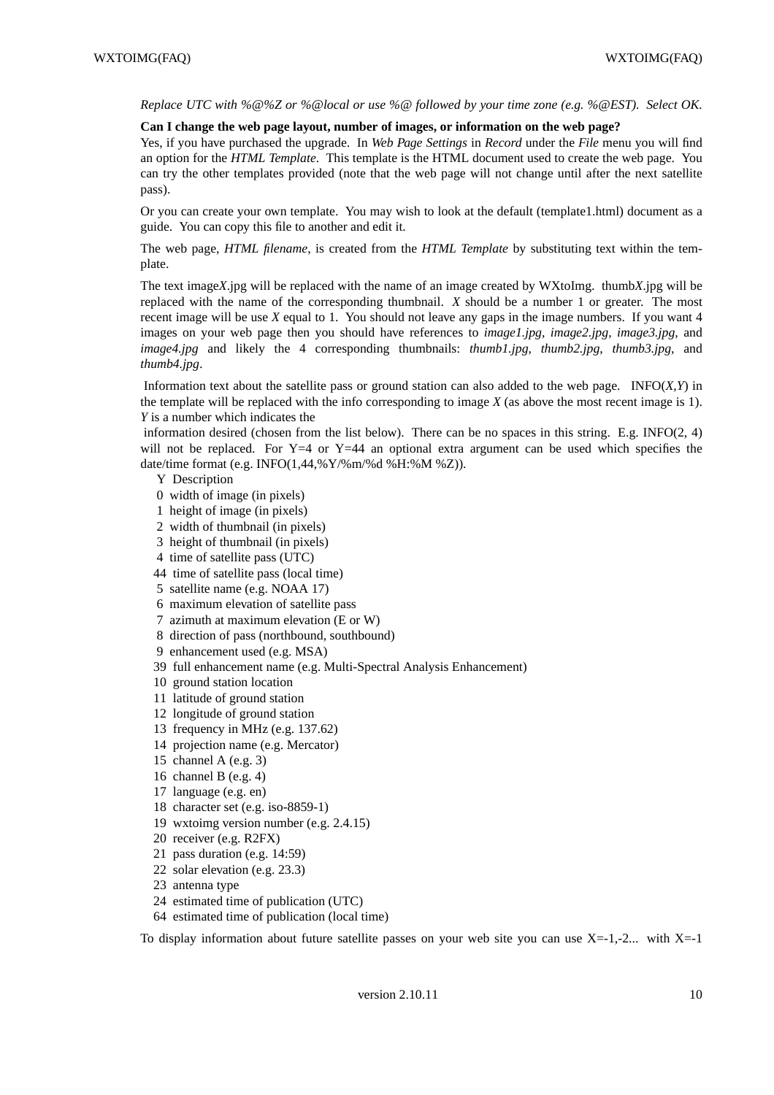*Replace UTC with %@%Z or %@local or use %@ followed by your time zone (e.g. %@EST). Select OK.*

#### **Can I change the web page layout, number of images, or information on the web page?**

Yes, if you have purchased the upgrade. In *Web Page Settings* in *Record* under the *File* menu you will find an option for the *HTML Template*. This template is the HTML document used to create the web page. You can try the other templates provided (note that the web page will not change until after the next satellite pass).

Or you can create your own template. You may wish to look at the default (template1.html) document as a guide. You can copy this file to another and edit it.

The web page, *HTML filename*, is created from the *HTML Template* by substituting text within the template.

The text image*X*.jpg will be replaced with the name of an image created by WXtoImg. thumb*X*.jpg will be replaced with the name of the corresponding thumbnail. *X* should be a number 1 or greater. The most recent image will be use *X* equal to 1. You should not leave any gaps in the image numbers. If you want 4 images on your web page then you should have references to *image1.jpg*, *image2.jpg*, *image3.jpg*, and *image4.jpg* and likely the 4 corresponding thumbnails: *thumb1.jpg*, *thumb2.jpg*, *thumb3.jpg*, and *thumb4.jpg*.

Information text about the satellite pass or ground station can also added to the web page. INFO $(X, Y)$  in the template will be replaced with the info corresponding to image *X* (as above the most recent image is 1). *Y* is a number which indicates the

information desired (chosen from the list below). There can be no spaces in this string. E.g. INFO(2, 4) will not be replaced. For  $Y=4$  or  $Y=44$  an optional extra argument can be used which specifies the date/time format (e.g. INFO(1,44,%Y/%m/%d %H:%M %Z)).

### Y Description

- 0 width of image (in pixels)
- 1 height of image (in pixels)
- 2 width of thumbnail (in pixels)
- 3 height of thumbnail (in pixels)
- 4 time of satellite pass (UTC)
- 44 time of satellite pass (local time)
- 5 satellite name (e.g. NOAA 17)
- 6 maximum elevation of satellite pass
- 7 azimuth at maximum elevation (E or W)
- 8 direction of pass (northbound, southbound)
- 9 enhancement used (e.g. MSA)
- 39 full enhancement name (e.g. Multi-Spectral Analysis Enhancement)
- 10 ground station location
- 11 latitude of ground station
- 12 longitude of ground station
- 13 frequency in MHz (e.g. 137.62)
- 14 projection name (e.g. Mercator)
- 15 channel A (e.g.  $3$ )
- 16 channel B (e.g. 4)
- 17 language (e.g. en)
- 18 character set (e.g. iso-8859-1)
- 19 wxtoimg version number (e.g. 2.4.15)
- 20 receiver (e.g. R2FX)
- 21 pass duration (e.g. 14:59)
- 22 solar elevation (e.g. 23.3)
- 23 antenna type
- 24 estimated time of publication (UTC)
- 64 estimated time of publication (local time)

To display information about future satellite passes on your web site you can use  $X=-1,-2...$  with  $X=-1$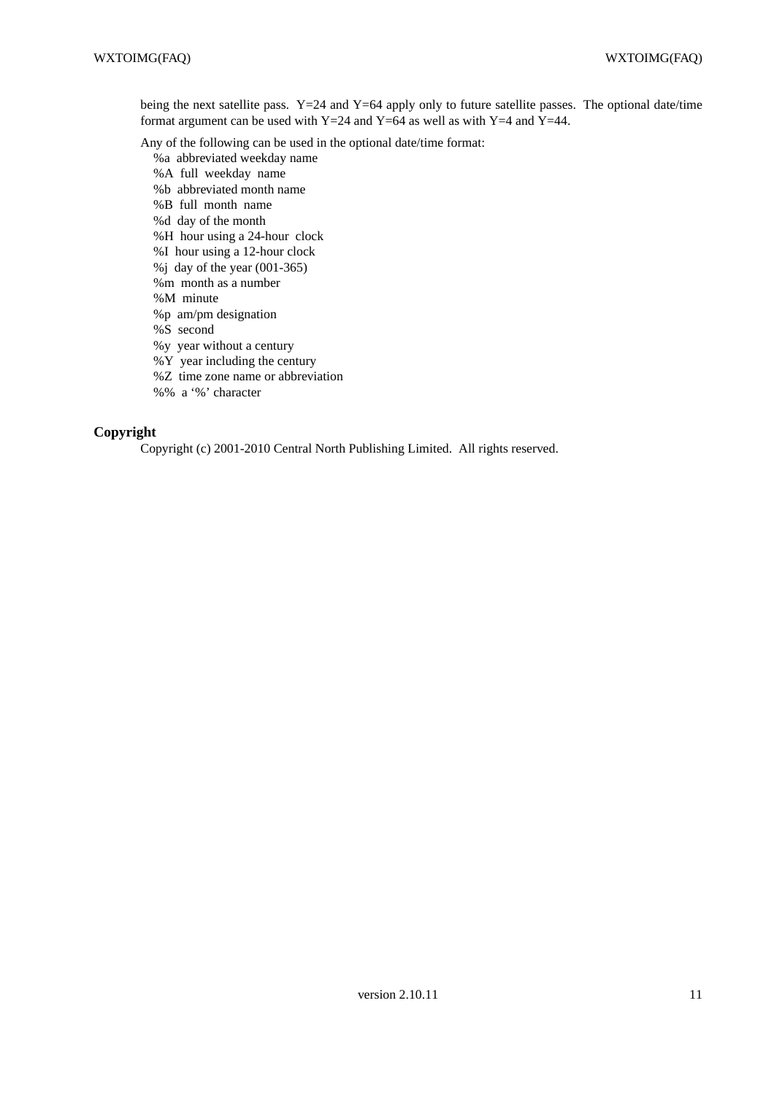being the next satellite pass. Y=24 and Y=64 apply only to future satellite passes. The optional date/time format argument can be used with Y=24 and Y=64 as well as with Y=4 and Y=44.

Any of the following can be used in the optional date/time format:

- %a abbreviated weekday name
- %A full weekday name
- %b abbreviated month name
- %B full month name
- %d day of the month
- %H hour using a 24-hour clock
- %I hour using a 12-hour clock
- %j day of the year (001-365)
- %m month as a number
- %M minute
- %p am/pm designation
- %S second
- %y year without a century
- %Y year including the century
- %Z time zone name or abbreviation
- %% a '%' character

### **Copyright**

Copyright (c) 2001-2010 Central North Publishing Limited. All rights reserved.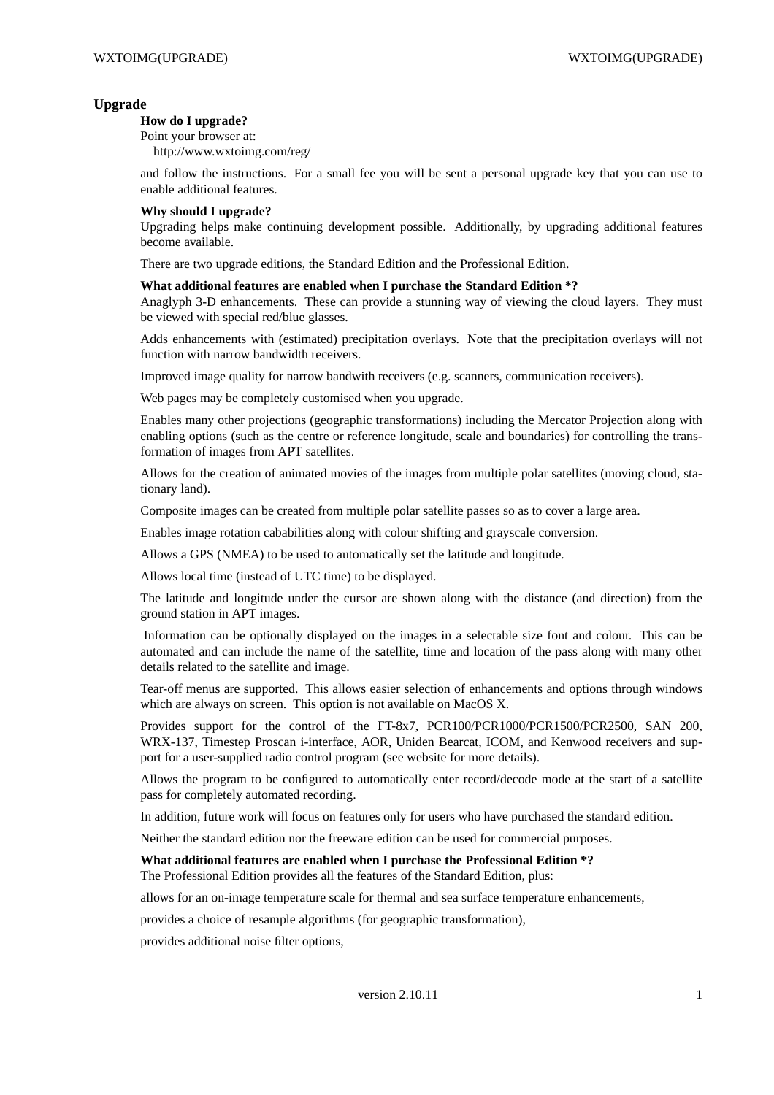### **Upgrade**

#### **How do I upgrade?**

Point your browser at: http://www.wxtoimg.com/reg/

and follow the instructions. For a small fee you will be sent a personal upgrade key that you can use to enable additional features.

### **Why should I upgrade?**

Upgrading helps make continuing development possible. Additionally, by upgrading additional features become available.

There are two upgrade editions, the Standard Edition and the Professional Edition.

### **What additional features are enabled when I purchase the Standard Edition \*?**

Anaglyph 3-D enhancements. These can provide a stunning way of viewing the cloud layers. They must be viewed with special red/blue glasses.

Adds enhancements with (estimated) precipitation overlays. Note that the precipitation overlays will not function with narrow bandwidth receivers.

Improved image quality for narrow bandwith receivers (e.g. scanners, communication receivers).

Web pages may be completely customised when you upgrade.

Enables many other projections (geographic transformations) including the Mercator Projection along with enabling options (such as the centre or reference longitude, scale and boundaries) for controlling the transformation of images from APT satellites.

Allows for the creation of animated movies of the images from multiple polar satellites (moving cloud, stationary land).

Composite images can be created from multiple polar satellite passes so as to cover a large area.

Enables image rotation cababilities along with colour shifting and grayscale conversion.

Allows a GPS (NMEA) to be used to automatically set the latitude and longitude.

Allows local time (instead of UTC time) to be displayed.

The latitude and longitude under the cursor are shown along with the distance (and direction) from the ground station in APT images.

Information can be optionally displayed on the images in a selectable size font and colour. This can be automated and can include the name of the satellite, time and location of the pass along with many other details related to the satellite and image.

Tear-off menus are supported. This allows easier selection of enhancements and options through windows which are always on screen. This option is not available on MacOS X.

Provides support for the control of the FT-8x7, PCR100/PCR1000/PCR1500/PCR2500, SAN 200, WRX-137, Timestep Proscan i-interface, AOR, Uniden Bearcat, ICOM, and Kenwood receivers and support for a user-supplied radio control program (see website for more details).

Allows the program to be configured to automatically enter record/decode mode at the start of a satellite pass for completely automated recording.

In addition, future work will focus on features only for users who have purchased the standard edition.

Neither the standard edition nor the freeware edition can be used for commercial purposes.

# **What additional features are enabled when I purchase the Professional Edition \*?**

The Professional Edition provides all the features of the Standard Edition, plus:

allows for an on-image temperature scale for thermal and sea surface temperature enhancements,

provides a choice of resample algorithms (for geographic transformation),

provides additional noise filter options,